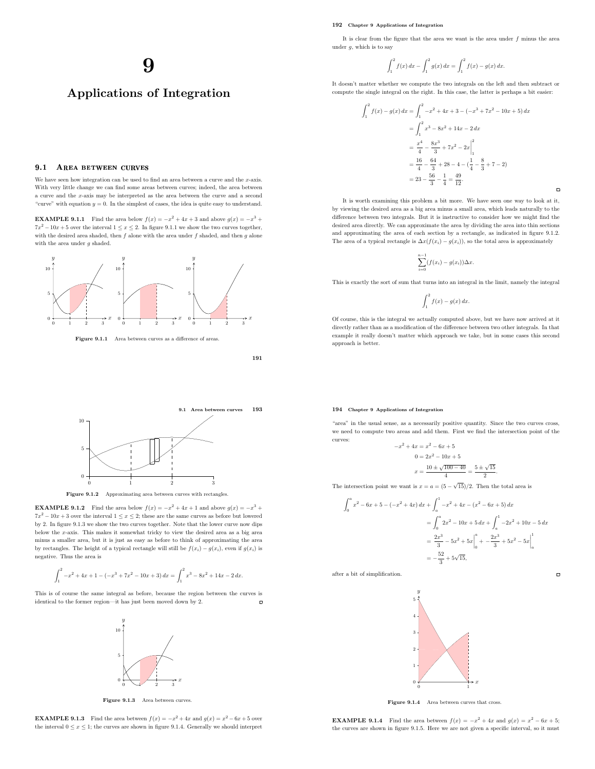#### 192 Chapter 9 Applications of Integration

It is clear from the figure that the area we want is the area under  $f$  minus the area under  $q$ , which is to say

$$
\int_{1}^{2} f(x) dx - \int_{1}^{2} g(x) dx = \int_{1}^{2} f(x) - g(x) dx.
$$

It doesn't matter whether we compute the two integrals on the left and then subtract or compute the single integral on the right. In this case, the latter is perhaps a bit easier:

$$
\int_{1}^{2} f(x) - g(x) dx = \int_{1}^{2} -x^{2} + 4x + 3 - (-x^{3} + 7x^{2} - 10x + 5) dx
$$
  
= 
$$
\int_{1}^{2} x^{3} - 8x^{2} + 14x - 2 dx
$$
  
= 
$$
\frac{x^{4}}{4} - \frac{8x^{3}}{3} + 7x^{2} - 2x \Big|_{1}^{2}
$$
  
= 
$$
\frac{16}{4} - \frac{64}{3} + 28 - 4 - (\frac{1}{4} - \frac{8}{3} + 7 - 2)
$$
  
= 
$$
23 - \frac{56}{3} - \frac{1}{4} = \frac{49}{12}.
$$

 $\Box$ 

 $\Box$ 

It is worth examining this problem a bit more. We have seen one way to look at it, by viewing the desired area as a big area minus a small area, which leads naturally to the difference between two integrals. But it is instructive to consider how we might find the desired area directly. We can approximate the area by dividing the area into thin sections and approximating the area of each section by a rectangle, as indicated in figure 9.1.2. The area of a typical rectangle is  $\Delta x(f(x_i) - g(x_i))$ , so the total area is approximately

$$
\sum_{i=0}^{n-1} (f(x_i) - g(x_i)) \Delta x.
$$

This is exactly the sort of sum that turns into an integral in the limit, namely the integral

$$
\int_1^2 f(x) - g(x) \, dx.
$$

Of course, this is the integral we actually computed above, but we have now arrived at it directly rather than as a modification of the difference between two other integrals. In that example it really doesn't matter which approach we take, but in some cases this second approach is better.

#### 194 Chapter 9 Applications of Integration

 $-x$ 

"area" in the usual sense, as a necessarily positive quantity. Since the two curves cross, we need to compute two areas and add them. First we find the intersection point of the curves:

$$
x^{2} + 4x = x^{2} - 6x + 5
$$
  
\n
$$
0 = 2x^{2} - 10x + 5
$$
  
\n
$$
x = \frac{10 \pm \sqrt{100 - 40}}{4} = \frac{5 \pm \sqrt{15}}{2}.
$$

The intersection point we want is  $x = a = (5 - \sqrt{15})/2$ . Then the total area is

$$
\int_0^a x^2 - 6x + 5 - (-x^2 + 4x) dx + \int_a^1 -x^2 + 4x - (x^2 - 6x + 5) dx
$$
  
= 
$$
\int_0^a 2x^2 - 10x + 5 dx + \int_a^1 -2x^2 + 10x - 5 dx
$$
  
= 
$$
\frac{2x^3}{3} - 5x^2 + 5x \Big|_0^a + \frac{2x^3}{3} + 5x^2 - 5x \Big|_a^1
$$
  
= 
$$
-\frac{52}{3} + 5\sqrt{15},
$$

after a bit of simplification.



Figure 9.1.4 Area between curves that cross.



 $\overline{y}$ 

5

10



**EXAMPLE 9.1.2** Find the area below  $f(x) = -x^2 + 4x + 1$  and above  $g(x) = -x^3 +$  $7x^2 - 10x + 3$  over the interval  $1 \le x \le 2$ ; these are the same curves as before but lowered by 2. In figure 9.1.3 we show the two curves together. Note that the lower curve now dips below the x-axis. This makes it somewhat tricky to view the desired area as a big area minus a smaller area, but it is just as easy as before to think of approximating the area by rectangles. The height of a typical rectangle will still be  $f(x_i) - g(x_i)$ , even if  $g(x_i)$  is negative. Thus the area is

$$
\int_{1}^{2} -x^{2} + 4x + 1 - (-x^{3} + 7x^{2} - 10x + 3) dx = \int_{1}^{2} x^{3} - 8x^{2} + 14x - 2 dx.
$$

This is of course the same integral as before, because the region between the curves is identical to the former region—it has just been moved down by 2.  $\overline{a}$ 



Figure 9.1.3 Area between curves.

**EXAMPLE 9.1.3** Find the area between  $f(x) = -x^2 + 4x$  and  $g(x) = x^2 - 6x + 5$  over the interval  $0 \le x \le 1$ ; the curves are shown in figure 9.1.4. Generally we should interpret

**EXAMPLE 9.1.4** Find the area between  $f(x) = -x^2 + 4x$  and  $g(x) = x^2 - 6x + 5$ ; the curves are shown in figure 9.1.5. Here we are not given a specific interval, so it must

# 9

Applications of Integration

We have seen how integration can be used to find an area between a curve and the x-axis. With very little change we can find some areas between curves; indeed, the area between a curve and the x-axis may be interpreted as the area between the curve and a second "curve" with equation  $y = 0$ . In the simplest of cases, the idea is quite easy to understand. **EXAMPLE 9.1.1** Find the area below  $f(x) = -x^2 + 4x + 3$  and above  $g(x) = -x^3 +$  $7x^2 - 10x + 5$  over the interval  $1 \le x \le 2$ . In figure 9.1.1 we show the two curves together, with the desired area shaded, then  $f$  alone with the area under  $f$  shaded, and then  $g$  alone

9.1 AREA BETWEEN CURVES

x

0

5

10

 $\overline{y}$ 

with the area under  $g$  shaded.

0 1 2 3

 $\overline{y}$ 

0

5

10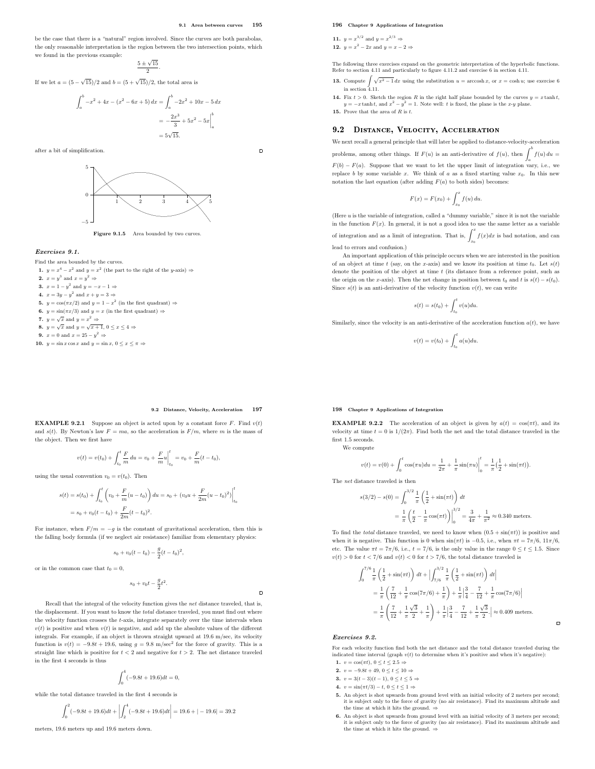$\overline{a}$ 

be the case that there is a "natural" region involved. Since the curves are both parabolas, the only reasonable interpretation is the region between the two intersection points, which we found in the previous example:

$$
\frac{5 \pm \sqrt{15}}{2}.
$$

If we let  $a = (5 - \sqrt{15})/2$  and  $b = (5 + \sqrt{15})/2$ , the total area is

$$
\int_{a}^{b} -x^{2} + 4x - (x^{2} - 6x + 5) dx = \int_{a}^{b} -2x^{2} + 10x - 5 dx
$$

$$
= -\frac{2x^{3}}{3} + 5x^{2} - 5x \Big|_{a}^{b}
$$

$$
= 5\sqrt{15}.
$$

after a bit of simplification.



Figure 9.1.5 Area bounded by two curves.

#### Exercises 9.1.

Find the area bounded by the curves.

- 1.  $y = x^4 x^2$  and  $y = x^2$  (the part to the right of the y-axis)  $\Rightarrow$ **2.**  $x = y^3$  and  $x = y^2 \Rightarrow$
- **3.**  $x = 1 y^2$  and  $y = -x 1 \Rightarrow$ 4.  $x = 3y - y^2$  and  $x + y = 3 \Rightarrow$
- **5.**  $y = \cos(\pi x/2)$  and  $y = 1 x^2$  (in the first quadrant)  $\Rightarrow$
- **6.**  $y = \sin(\pi x/3)$  and  $y = x$  (in the first quadrant)  $\Rightarrow$
- 7.  $y = \sqrt{x}$  and  $y = x^2 \Rightarrow$
- 8.  $y = \sqrt{x}$  and  $y = \sqrt{x+1}$ ,  $0 \le x \le 4 \Rightarrow$
- 9.  $x = 0$  and  $x = 25 y^2 \Rightarrow$
- 10.  $y = \sin x \cos x$  and  $y = \sin x$ ,  $0 \le x \le \pi \Rightarrow$

#### 196 Chapter 9 Applications of Integration

11.  $y = x^{3/2}$  and  $y = x^{2/3} \Rightarrow$ 12.  $y = x^2 - 2x$  and  $y = x - 2 \Rightarrow$ 

The following three exercises expand on the geometric interpretation of the hyperbolic functions. Refer to section 4.11 and particularly to figure 4.11.2 and exercise 6 in section 4.11.

- **13.** Compute  $\int \sqrt{x^2 1} \, dx$  using the substitution  $u = \operatorname{arccosh} x$ , or  $x = \cosh u$ ; use exercise 6 in section  $4.11$ .
- 14. Fix  $t > 0$ . Sketch the region R in the right half plane bounded by the curves  $y = x \tanh t$ ,  $y = -x \tanh t$ , and  $x^2 - y^2 = 1$ . Note well: t is fixed, the plane is the x-y plane. 15. Prove that the area of  $R$  is  $t$ .

#### 9.2 DISTANCE, VELOCITY, ACCELERATION

We next recall a general principle that will later be applied to distance-velocity-acceleration problems, among other things. If  $F(u)$  is an anti-derivative of  $f(u)$ , then  $\int^b f(u) du =$ 

 $F(b) - F(a)$ . Suppose that we want to let the upper limit of integration vary, i.e., we replace b by some variable x. We think of a as a fixed starting value  $x_0$ . In this new notation the last equation (after adding  $F(a)$  to both sides) becomes:

$$
F(x) = F(x_0) + \int_{x_0}^x f(u) \, du.
$$

(Here u is the variable of integration, called a "dummy variable," since it is not the variable in the function  $F(x)$ . In general, it is not a good idea to use the same letter as a variable

of integration and as a limit of integration. That is,  $\int_{x_0}^x f(x)dx$  is bad notation, and can lead to errors and confusion.)

An important application of this principle occurs when we are interested in the position of an object at time  $t$  (say, on the x-axis) and we know its position at time  $t_0$ . Let  $s(t)$ denote the position of the object at time  $t$  (its distance from a reference point, such as the origin on the x-axis). Then the net change in position between  $t_0$  and t is  $s(t) - s(t_0)$ . Since  $s(t)$  is an anti-derivative of the velocity function  $v(t)$ , we can write

$$
s(t) = s(t_0) + \int_{t_0}^t v(u) du.
$$

Similarly, since the velocity is an anti-derivative of the acceleration function  $a(t)$ , we have

$$
v(t) = v(t_0) + \int_{t_0}^t a(u) du.
$$

#### 9.2 Distance, Velocity, Acceleration 197

 $\Box$ 

**EXAMPLE 9.2.1** Suppose an object is acted upon by a constant force  $F$ . Find  $v(t)$ and  $s(t)$ . By Newton's law  $F = ma$ , so the acceleration is  $F/m$ , where m is the mass of the object. Then we first have

$$
v(t) = v(t_0) + \int_{t_0}^t \frac{F}{m} du = v_0 + \frac{F}{m} u \Big|_{t_0}^t = v_0 + \frac{F}{m} (t - t_0),
$$

using the usual convention  $v_0 = v(t_0)$ . Then

$$
s(t) = s(t_0) + \int_{t_0}^t \left( v_0 + \frac{F}{m}(u - t_0) \right) du = s_0 + (v_0 u + \frac{F}{2m}(u - t_0)^2) \Big|_{t_0}^t
$$
  
=  $s_0 + v_0 (t - t_0) + \frac{F}{2m} (t - t_0)^2$ .

For instance, when  $F/m = -q$  is the constant of gravitational acceleration, then this is the falling body formula (if we neglect air resistance) familiar from elementary physics:

$$
s_0 + v_0(t - t_0) - \frac{g}{2}(t - t_0)^2,
$$

or in the common case that  $t_0 = 0$ .

$$
s_0+v_0t-\frac{g}{2}t^2
$$

.

Recall that the integral of the velocity function gives the net distance traveled, that is, the displacement. If you want to know the total distance traveled, you must find out where the velocity function crosses the  $t$ -axis, integrate separately over the time intervals when  $v(t)$  is positive and when  $v(t)$  is negative, and add up the absolute values of the different integrals. For example, if an object is thrown straight upward at 19.6 m/sec, its velocity function is  $v(t) = -9.8t + 19.6$ , using  $g = 9.8$  m/sec<sup>2</sup> for the force of gravity. This is a straight line which is positive for  $t < 2$  and negative for  $t > 2$ . The net distance traveled in the first 4 seconds is thus

$$
\int_0^4 (-9.8t+19.6)dt=0,
$$

while the total distance traveled in the first 4 seconds is

$$
\int_0^2 (-9.8t + 19.6)dt + \left| \int_2^4 (-9.8t + 19.6)dt \right| = 19.6 + |-19.6| = 39.2
$$

meters, 19.6 meters up and 19.6 meters down.

**EXAMPLE 9.2.2** The acceleration of an object is given by  $a(t) = \cos(\pi t)$ , and its velocity at time  $t = 0$  is  $1/(2\pi)$ . Find both the net and the total distance traveled in the first 1.5 seconds.

We compute

$$
v(t) = v(0) + \int_0^t \cos(\pi u) du = \frac{1}{2\pi} + \frac{1}{\pi} \sin(\pi u) \Big|_0^t = \frac{1}{\pi} \left(\frac{1}{2} + \sin(\pi t)\right).
$$

The net distance traveled is then

198 Chapter 9 Applications of Integration

$$
s(3/2) - s(0) = \int_0^{3/2} \frac{1}{\pi} \left(\frac{1}{2} + \sin(\pi t)\right) dt
$$
  
=  $\frac{1}{\pi} \left(\frac{t}{2} - \frac{1}{\pi} \cos(\pi t)\right) \Big|_0^{3/2} = \frac{3}{4\pi} + \frac{1}{\pi^2} \approx 0.340$  meters.

To find the *total* distance traveled, we need to know when  $(0.5 + \sin(\pi t))$  is positive and when it is negative. This function is 0 when  $sin(\pi t)$  is -0.5, i.e., when  $\pi t = 7\pi/6$ ,  $11\pi/6$ , etc. The value  $\pi t = 7\pi/6$ , i.e.,  $t = 7/6$ , is the only value in the range  $0 \le t \le 1.5$ . Since  $v(t) > 0$  for  $t < 7/6$  and  $v(t) < 0$  for  $t > 7/6$ , the total distance traveled is

$$
\int_0^{7/6} \frac{1}{\pi} \left( \frac{1}{2} + \sin(\pi t) \right) dt + \left| \int_{7/6}^{3/2} \frac{1}{\pi} \left( \frac{1}{2} + \sin(\pi t) \right) dt \right|
$$
  
=  $\frac{1}{\pi} \left( \frac{7}{12} + \frac{1}{\pi} \cos(7\pi/6) + \frac{1}{\pi} \right) + \frac{1}{\pi} \left| \frac{3}{4} - \frac{7}{12} + \frac{1}{\pi} \cos(7\pi/6) \right|$   
=  $\frac{1}{\pi} \left( \frac{7}{12} + \frac{1}{\pi} \frac{\sqrt{3}}{2} + \frac{1}{\pi} \right) + \frac{1}{\pi} \left| \frac{3}{4} - \frac{7}{12} + \frac{1}{\pi} \frac{\sqrt{3}}{2} \right| \approx 0.409 \text{ meters.}$ 

#### Exercises 9.2.

For each velocity function find both the net distance and the total distance traveled during the indicated time interval (graph  $v(t)$  to determine when it's positive and when it's negative):

 $\overline{a}$ 

1.  $v = \cos(\pi t)$ ,  $0 \le t \le 2.5$   $\Rightarrow$ 

- 2.  $v = -9.8t + 49, 0 \le t \le 10 \Rightarrow$
- 3.  $v = 3(t-3)(t-1), 0 \le t \le 5$  ⇒ 4.  $v = \sin(\pi t/3) - t, 0 \le t \le 1 \Rightarrow$
- 
- 5. An object is shot upwards from ground level with an initial velocity of 2 meters per second; it is subject only to the force of gravity (no air resistance). Find its maximum altitude and the time at which it hits the ground.  $\Rightarrow$
- 6. An object is shot upwards from ground level with an initial velocity of 3 meters per second; it is subject only to the force of gravity (no air resistance). Find its maximum altitude and the time at which it hits the ground.  $\Rightarrow$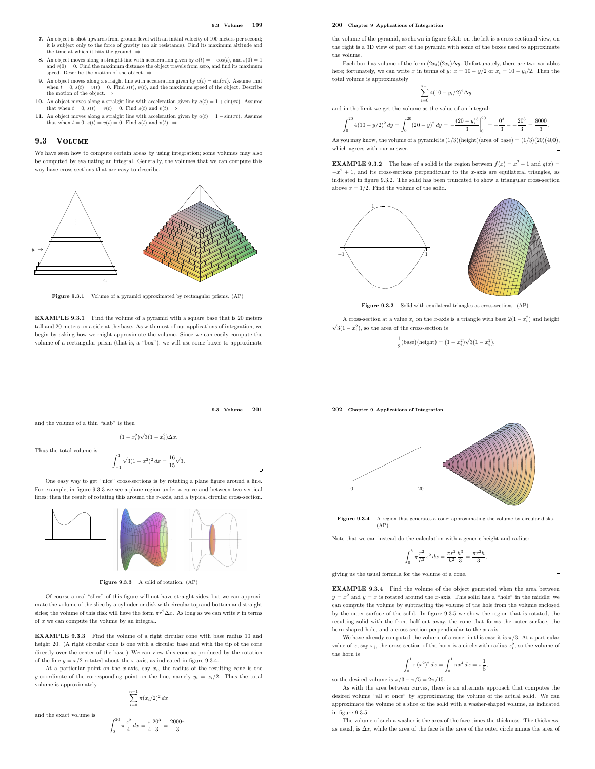#### 9.3 Volume 199

- 7. An object is shot upwards from ground level with an initial velocity of 100 meters per second; it is subject only to the force of gravity (no air resistance). Find its maximum altitude and the time at which it hits the ground.  $\Rightarrow$
- 8. An object moves along a straight line with acceleration given by  $a(t) = -\cos(t)$ , and  $s(0) = 1$  and  $v(0) = 0$ . Find the maximum distance the object travels from zero, and find its maximum m distance the object travels from zero, and find its maxim speed. Describe the motion of the object.  $\Rightarrow$
- 9. An object moves along a straight line with acceleration given by  $a(t) = \sin(\pi t)$ . Assume that when  $t = 0$ ,  $s(t) = v(t) = 0$ . Find  $s(t)$ ,  $v(t)$ , and the maximum speed of the object. Describe the motion of the object. ⇒
- 10. An object moves along a straight line with acceleration given by  $a(t) = 1 + \sin(\pi t)$ . Assume that when  $t = 0$ ,  $s(t) = v(t) = 0$ . Find  $s(t)$  and  $v(t)$ .  $\Rightarrow$
- 11. An object moves along a straight line with acceleration given by  $a(t) = 1 \sin(\pi t)$ . Assume that when  $t = 0$ ,  $s(t) = v(t) = 0$ . Find  $s(t)$  and  $v(t)$ .

#### 9.3 VOLUME

We have seen how to compute certain areas by using integration; some volumes may also be computed by evaluating an integral. Generally, the volumes that we can compute this way have cross-sections that are easy to describe.



Figure 9.3.1 Volume of a pyramid approximated by rectangular prisms. (AP)

EXAMPLE 9.3.1 Find the volume of a pyramid with a square base that is 20 meters tall and 20 meters on a side at the base. As with most of our applications of integration, we begin by asking how we might approximate the volume. Since we can easily compute the volume of a rectangular prism (that is, a "box"), we will use some boxes to approximate 200 Chapter 9 Applications of Integration

the volume of the pyramid, as shown in figure 9.3.1: on the left is a cross-sectional view, on the right is a 3D view of part of the pyramid with some of the boxes used to approximate the volume.

Each box has volume of the form  $(2x_i)(2x_i)\Delta y$ . Unfortunately, there are two variables here; fortunately, we can write x in terms of y:  $x = 10 - y/2$  or  $x_i = 10 - y_i/2$ . Then the total volume is approximately

$$
\sum_{i=0}^{n-1} 4(10 - y_i/2)^2 \Delta y
$$

and in the limit we get the volume as the value of an integral:

$$
\int_0^{20} 4(10 - y/2)^2 dy = \int_0^{20} (20 - y)^2 dy = -\frac{(20 - y)^3}{3} \bigg|_0^{20} = -\frac{0^3}{3} - \frac{20^3}{3} = \frac{8000}{3}.
$$

As you may know, the volume of a pyramid is  $(1/3)(\text{height})(\text{area of base}) = (1/3)(20)(400)$ , which agrees with our answer.

**EXAMPLE 9.3.2** The base of a solid is the region between  $f(x) = x^2 - 1$  and  $g(x) =$  $-x^2 + 1$ , and its cross-sections perpendicular to the x-axis are equilateral triangles, as indicated in figure 9.3.2. The solid has been truncated to show a triangular cross-section above  $x = 1/2$ . Find the volume of the solid.



Figure 9.3.2 Solid with equilateral triangles as cross-sections. (AP)

A cross-section at a value  $x_i$  on the x-axis is a triangle with base  $2(1 - x_i^2)$  and height  $\sqrt{3}(1-x_i^2)$ , so the area of the cross-section is

> 1  $\frac{1}{2}$ (base)(height) =  $(1 - x_i^2)\sqrt{3}(1 - x_i^2)$ ,

9.3 Volume 201

 $\overline{a}$ 

and the volume of a thin "slab" is then

$$
(1-x_i^2)\sqrt{3}(1-x_i^2)\Delta x.
$$

Thus the total volume is

$$
\int_{-1}^{1} \sqrt{3}(1 - x^2)^2 dx = \frac{16}{15}\sqrt{3}.
$$

One easy way to get "nice" cross-sections is by rotating a plane figure around a line. For example, in figure 9.3.3 we see a plane region under a curve and between two vertical lines; then the result of rotating this around the x-axis, and a typical circular cross-section.



Figure 9.3.3 A solid of rotation. (AP)

Of course a real "slice" of this figure will not have straight sides, but we can approximate the volume of the slice by a cylinder or disk with circular top and bottom and straight sides; the volume of this disk will have the form  $\pi r^2 \Delta x$ . As long as we can write r in terms of x we can compute the volume by an integral.

EXAMPLE 9.3.3 Find the volume of a right circular cone with base radius 10 and height 20. (A right circular cone is one with a circular base and with the tip of the cone directly over the center of the base.) We can view this cone as produced by the rotation of the line  $y = x/2$  rotated about the x-axis, as indicated in figure 9.3.4.

At a particular point on the x-axis, say  $x_i$ , the radius of the resulting cone is the y-coordinate of the corresponding point on the line, namely  $y_i = x_i/2$ . Thus the total volume is approximately  $\sum_{i=1}^{n-1} \pi (x_i/2)^2 dx$ 

and the exact volume is

$$
\int_0^{20} \pi \frac{x^2}{4} dx = \frac{\pi}{4} \frac{20^3}{3} = \frac{2000\pi}{3}.
$$

 $i=0$ 





Figure 9.3.4 A region that generates a cone; approximating the volume by circular disks.  $(AP)$ 

Note that we can instead do the calculation with a generic height and radius:

$$
\int_0^h \pi \frac{r^2}{h^2} x^2 dx = \frac{\pi r^2}{h^2} \frac{h^3}{3} = \frac{\pi r^2 h}{3},
$$

 $\Box$ 

giving us the usual formula for the volume of a cone.

EXAMPLE 9.3.4 Find the volume of the object generated when the area between  $y = x<sup>2</sup>$  and  $y = x$  is rotated around the x-axis. This solid has a "hole" in the middle; we can compute the volume by subtracting the volume of the hole from the volume enclosed by the outer surface of the solid. In figure 9.3.5 we show the region that is rotated, the resulting solid with the front half cut away, the cone that forms the outer surface, the horn-shaped hole, and a cross-section perpendicular to the x-axis.

We have already computed the volume of a cone; in this case it is  $\pi/3$ . At a particular value of x, say  $x_i$ , the cross-section of the horn is a circle with radius  $x_i^2$ , so the volume of the horn is

$$
\int_0^1 \pi(x^2)^2 dx = \int_0^1 \pi x^4 dx = \pi \frac{1}{5},
$$

so the desired volume is  $\pi/3 - \pi/5 = 2\pi/15$ .

As with the area between curves, there is an alternate approach that computes the desired volume "all at once" by approximating the volume of the actual solid. We can approximate the volume of a slice of the solid with a washer-shaped volume, as indicated in figure 9.3.5.

The volume of such a washer is the area of the face times the thickness. The thickness, as usual, is  $\Delta x$ , while the area of the face is the area of the outer circle minus the area of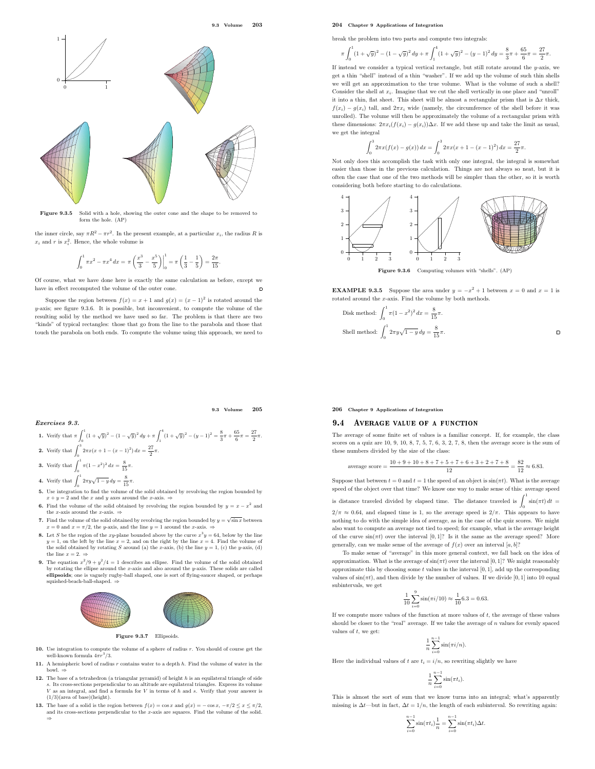0 1  $\mathbf{0}$ 1  $\angle$   $\angle$ .

Figure 9.3.5 Solid with a hole, showing the outer cone and the shape to be removed to form the hole. (AP)

the inner circle, say  $\pi R^2 - \pi r^2$ . In the present example, at a particular  $x_i$ , the radius R is  $x_i$  and r is  $x_i^2$ . Hence, the whole volume is

$$
\int_0^1 \pi x^2 - \pi x^4 dx = \pi \left( \frac{x^3}{3} - \frac{x^5}{5} \right) \Big|_0^1 = \pi \left( \frac{1}{3} - \frac{1}{5} \right) = \frac{2\pi}{15}.
$$

Of course, what we have done here is exactly the same calculation as before, except we have in effect recomputed the volume of the outer cone.  $\overline{a}$ 

Suppose the region between  $f(x) = x + 1$  and  $g(x) = (x - 1)^2$  is rotated around the  $y$ -axis; see figure 9.3.6. It is possible, but inconvenient, to compute the volume of the resulting solid by the method we have used so far. The problem is that there are two "kinds" of typical rectangles: those that go from the line to the parabola and those that touch the parabola on both ends. To compute the volume using this approach, we need to

#### 9.3 Volume 205

π.

1. Verify that 
$$
\pi \int_0^1 (1 + \sqrt{y})^2 - (1 - \sqrt{y})^2 dy + \pi \int_1^4 (1 + \sqrt{y})^2 - (y - 1)^2 = \frac{8}{3}\pi + \frac{65}{6}\pi = \frac{27}{2}
$$

- 2. Verify that  $\int_0^3 2\pi x (x+1-(x-1)^2) dx = \frac{27}{2}\pi$ .  $\mathbf 0$
- **3.** Verify that  $\int_0^1 \pi (1 x^2)^2 dx = \frac{8}{15} \pi$ .
- **4.** Verify that  $\int_0^1 2\pi y \sqrt{1-y} \, dy = \frac{8}{15}\pi$ .
- 5. Use integration to find the volume of the solid obtained by revolving the region bounded by  $x + y = 2$  and the x and y axes around the x-axis.  $\Rightarrow$
- **6.** Find the volume of the solid obtained by revolving the region bounded by  $y = x x^2$  and the x-axis around the x-axis.  $\Rightarrow$
- 7. Find the volume of the solid obtained by revolving the region bounded by  $y = \sqrt{\sin x}$  between  $x = 0$  and  $x = \pi/2$ , the y-axis, and the line  $y = 1$  around the x-axis. =
- **8.** Let S be the region of the xy-plane bounded above by the curve  $x^3y = 64$ , below by the line  $y = 1$ , on the left by the line  $x = 2$ , and on the right by the line  $x = 4$ . Find the volume of the solid obtained by rotating  $S$  around (a) the x-axis, (b) the line  $y = 1$ , (c) the y-axis, (d) the line  $x = 2. \Rightarrow$
- **9.** The equation  $x^2/9 + y^2/4 = 1$  describes an ellipse. Find the volume of the solid obtained by rotating the ellipse around the x-axis and also around the y-axis. These solids are called ellipsoids; one is vaguely rugby-ball shaped, one is sort of flying-saucer shaped, or perhaps squished-beach-ball-shaped.



Figure 9.3.7 Ellipsoids.

- 10. Use integration to compute the volume of a sphere of radius r. You should of course get the well-known formula  $4\pi r^3/3$ .
- 11. A hemispheric bowl of radius  $r$  contains water to a depth  $h$ . Find the volume of water in the bowl. ⇒
- 12. The base of a tetrahedron (a triangular pyramid) of height  $h$  is an equilateral triangle of side s. Its cross-sections perpendicular to an altitude are equilateral triangles. Express its volume V as an integral, and find a formula for V in terms of h and s. Verify that your answer is  $(1/3)(area of base)(height).$
- 13. The base of a solid is the region between  $f(x) = \cos x$  and  $g(x) = -\cos x$ ,  $-\pi/2 \le x \le \pi/2$ , and its cross-sections perpendicular to the  $x$ -axis are squares. Find the volume of the solid. ⇒

#### 204 Chapter 9 Applications of Integration

break the problem into two parts and compute two integrals:

$$
\pi \int_0^1 (1+\sqrt{y})^2 - (1-\sqrt{y})^2 \, dy + \pi \int_1^4 (1+\sqrt{y})^2 - (y-1)^2 \, dy = \frac{8}{3}\pi + \frac{65}{6}\pi = \frac{27}{2}\pi.
$$

If instead we consider a typical vertical rectangle, but still rotate around the  $y$ -axis, we get a thin "shell" instead of a thin "washer". If we add up the volume of such thin shells we will get an approximation to the true volume. What is the volume of such a shell? Consider the shell at  $x_i$ . Imagine that we cut the shell vertically in one place and "unroll" it into a thin, flat sheet. This sheet will be almost a rectangular prism that is  $\Delta x$  thick,  $f(x_i) - g(x_i)$  tall, and  $2\pi x_i$  wide (namely, the circumference of the shell before it was unrolled). The volume will then be approximately the volume of a rectangular prism with these dimensions:  $2\pi x_i(f(x_i) - g(x_i))\Delta x$ . If we add these up and take the limit as usual, we get the integral

$$
\int_0^3 2\pi x (f(x) - g(x)) dx = \int_0^3 2\pi x (x + 1 - (x - 1)^2) dx = \frac{27}{2}\pi.
$$

Not only does this accomplish the task with only one integral, the integral is somewhat easier than those in the previous calculation. Things are not always so neat, but it is often the case that one of the two methods will be simpler than the other, so it is worth considering both before starting to do calculations.



**EXAMPLE 9.3.5** Suppose the area under  $y = -x^2 + 1$  between  $x = 0$  and  $x = 1$  is rotated around the x-axis. Find the volume by both methods.

Disk method: 
$$
\int_0^1 \pi (1 - x^2)^2 dx = \frac{8}{15} \pi.
$$
 Shell method: 
$$
\int_0^1 2\pi y \sqrt{1 - y} dy = \frac{8}{15} \pi.
$$

206 Chapter 9 Applications of Integration

#### 9.4 AVERAGE VALUE OF A FUNCTION

The average of some finite set of values is a familiar concept. If, for example, the class scores on a quiz are 10, 9, 10, 8, 7, 5, 7, 6, 3, 2, 7, 8, then the average score is the sum of these numbers divided by the size of the class:

average score = 
$$
\frac{10+9+10+8+7+5+7+6+3+2+7+8}{12} = \frac{82}{12} \approx 6.83.
$$

Suppose that between  $t = 0$  and  $t = 1$  the speed of an object is  $sin(\pi t)$ . What is the average speed of the object over that time? We know one way to make sense of this: average speed

is distance traveled divided by elapsed time. The distance traveled is  $\int_1^1 \sin(\pi t) dt =$  $2/\pi \approx 0.64$ , and elapsed time is 1, so the average speed is  $2/\pi$ . This appears to have nothing to do with the simple idea of average, as in the case of the quiz scores. We might also want to compute an average not tied to speed; for example, what is the average height of the curve  $sin(\pi t)$  over the interval [0, 1]? Is it the same as the average speed? More generally, can we make sense of the average of  $f(x)$  over an interval  $[a,b] \ensuremath{?}$ 

To make sense of "average" in this more general context, we fall back on the idea of approximation. What is the average of  $\sin(\pi t)$  over the interval [0, 1]? We might reasonably approximate this by choosing some  $t$  values in the interval  $[0, 1]$ , add up the corresponding values of  $\sin(\pi t)$ , and then divide by the number of values. If we divide  $[0,1]$  into 10 equal subintervals, we get

$$
\frac{1}{10} \sum_{i=0}^{9} \sin(\pi i/10) \approx \frac{1}{10} 6.3 = 0.63.
$$

If we compute more values of the function at more values of  $t$ , the average of these values should be closer to the "real" average. If we take the average of  $n$  values for evenly spaced values of  $t$ , we get:

$$
\frac{1}{n}\sum_{i=0}^{n-1}\sin(\pi i/n).
$$

Here the individual values of  $t$  are  $t_i = i/n$ , so rewriting slightly we have

$$
\frac{1}{n}\sum_{i=0}^{n-1}\sin(\pi t_i).
$$

This is almost the sort of sum that we know turns into an integral; what's apparently missing is  $\Delta t$ —but in fact,  $\Delta t = 1/n$ , the length of each subinterval. So rewriting again:

$$
\sum_{i=0}^{n-1} \sin(\pi t_i) \frac{1}{n} = \sum_{i=0}^{n-1} \sin(\pi t_i) \Delta t.
$$

9.3 Volume 203

 $E$ xercises  $\theta$ . 3.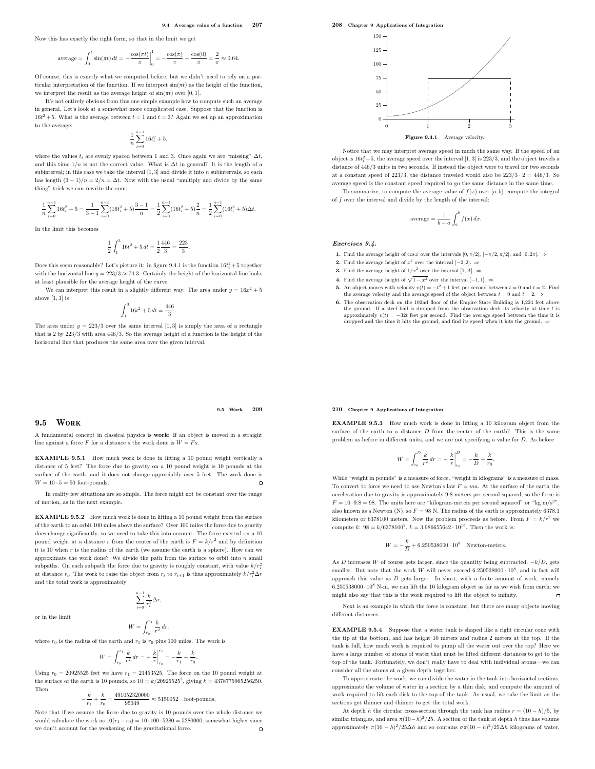Now this has exactly the right form, so that in the limit we get

$$
\text{average} = \int_0^1 \sin(\pi t) \, dt = -\frac{\cos(\pi t)}{\pi} \bigg|_0^1 = -\frac{\cos(\pi)}{\pi} + \frac{\cos(0)}{\pi} = \frac{2}{\pi} \approx 0.64.
$$

Of course, this is exactly what we computed before, but we didn't need to rely on a particular interpretation of the function. If we interpret  $sin(\pi t)$  as the height of the function, we interpret the result as the average height of  $sin(\pi t)$  over [0, 1].

It's not entirely obvious from this one simple example how to compute such an average in general. Let's look at a somewhat more complicated case. Suppose that the function is  $16t^2 + 5$ . What is the average between  $t = 1$  and  $t = 3$ ? Again we set up an approximation to the average:

$$
\frac{1}{n}\sum_{i=0}^{n-1} 16t_i^2 + 5,
$$

where the values  $t_i$  are evenly spaced between 1 and 3. Once again we are "missing"  $\Delta t$ , and this time  $1/n$  is not the correct value. What is  $\Delta t$  in general? It is the length of a subinterval; in this case we take the interval  $[1, 3]$  and divide it into n subintervals, so each has length  $(3-1)/n = 2/n = \Delta t$ . Now with the usual "multiply and divide by the same thing" trick we can rewrite the sum:

$$
\frac{1}{n}\sum_{i=0}^{n-1}16t_i^2+5=\frac{1}{3-1}\sum_{i=0}^{n-1}(16t_i^2+5)\frac{3-1}{n}=\frac{1}{2}\sum_{i=0}^{n-1}(16t_i^2+5)\frac{2}{n}=\frac{1}{2}\sum_{i=0}^{n-1}(16t_i^2+5)\Delta t.
$$

In the limit this becomes

$$
\frac{1}{2}\int_1^3 16t^2 + 5\,dt = \frac{1}{2}\frac{446}{3} = \frac{223}{3}.
$$

Does this seem reasonable? Let's picture it: in figure 9.4.1 is the function  $16t_i^2 + 5$  together with the horizontal line  $y = 223/3 \approx 74.3$ . Certainly the height of the horizontal line looks at least plausible for the average height of the curve.

We can interpret this result in a slightly different way. The area under  $y = 16x^2 + 5$ above [1, 3] is

$$
\int_1^3 16t^2 + 5 dt = \frac{446}{3}.
$$

The area under  $y = 223/3$  over the same interval [1,3] is simply the area of a rectangle that is 2 by 223/3 with area 446/3. So the average height of a function is the height of the horizontal line that produces the same area over the given interval.

#### 9.5 Work 209

#### $9.5$  WORK

A fundamental concept in classical physics is work: If an object is moved in a straight line against a force  $F$  for a distance  $s$  the work done is  $W = Fs$ .

EXAMPLE 9.5.1 How much work is done in lifting a 10 pound weight vertically a distance of 5 feet? The force due to gravity on a 10 pound weight is 10 pounds at the surface of the earth, and it does not change appreciably over 5 feet. The work done is  $W = 10 \cdot 5 = 50$  foot-pounds.  $\Box$ 

In reality few situations are so simple. The force might not be constant over the range of motion, as in the next example.

EXAMPLE 9.5.2 How much work is done in lifting a 10 pound weight from the surface of the earth to an orbit 100 miles above the surface? Over 100 miles the force due to gravity does change significantly, so we need to take this into account. The force exerted on a 10 pound weight at a distance r from the center of the earth is  $F = k/r^2$  and by definition it is 10 when r is the radius of the earth (we assume the earth is a sphere). How can we approximate the work done? We divide the path from the surface to orbit into  $n$  small subpaths. On each subpath the force due to gravity is roughly constant, with value  $k/r_i^2$ at distance  $r_i$ . The work to raise the object from  $r_i$  to  $r_{i+1}$  is thus approximately  $k/r_i^2 \Delta r$ and the total work is approximately

$$
\sum_{i=0}^{n-1} \frac{k}{r_i^2} \Delta r,
$$

or in the limit

$$
W = \int_{r_0}^{r_1} \frac{k}{r^2} dr,
$$

where  $r_0$  is the radius of the earth and  $r_1$  is  $r_0$  plus 100 miles. The work is

$$
W = \int_{r_0}^{r_1} \frac{k}{r^2} dr = -\left. \frac{k}{r} \right|_{r_0}^{r_1} = -\frac{k}{r_1} + \frac{k}{r_0}.
$$

Using  $r_0 = 20925525$  feet we have  $r_1 = 21453525$ . The force on the 10 pound weight at the surface of the earth is 10 pounds, so  $10 = k/20925525^2$ , giving  $k = 4378775965256250$ . Then

$$
-\frac{k}{r_1}+\frac{k}{r_0}=\frac{491052320000}{95349}\approx 5150052 \quad \text{foot-pounds}.
$$

Note that if we assume the force due to gravity is 10 pounds over the whole distance we would calculate the work as  $10(r_1 - r_0) = 10 \cdot 100 \cdot 5280 = 5280000$ , somewhat higher since we don't account for the weakening of the gravitational force. we don't account for the weakening of the gravitational force.

208 Chapter 9 Applications of Integration



Notice that we may interpret average speed in much the same way. If the speed of an object is  $16t_i^2 + 5$ , the average speed over the interval  $[1, 3]$  is  $223/3$ , and the object travels a distance of 446/3 units in two seconds. If instead the object were to travel for two seconds at a constant speed of 223/3, the distance traveled would also be  $223/3 \cdot 2 = 446/3$ . So average speed is the constant speed required to go the same distance in the same time.

To summarize, to compute the average value of  $f(x)$  over  $[a, b]$ , compute the integral of f over the interval and divide by the length of the interval:

$$
\text{average} = \frac{1}{b-a} \int_{a}^{b} f(x) \, dx.
$$

#### Exercises 9.4.

- 1. Find the average height of cos x over the intervals  $[0, \pi/2]$ ,  $[-\pi/2, \pi/2]$ , and  $[0, 2\pi]$ .  $\Rightarrow$
- 2. Find the average height of  $x^2$  over the interval [−2, 2]. ⇒
- **3.** Find the average height of  $1/x^2$  over the interval  $[1, A]$ .  $\Rightarrow$
- 4. Find the average height of  $\sqrt{1 x^2}$  over the interval [−1, 1]. ⇒
- **5.** An object moves with velocity  $v(t) = -t^2 + 1$  feet per second between  $t = 0$  and  $t = 2$ . Find the average velocity and the average speed of the object between  $t = 0$  and  $t = 2$ .
- 6. The observation deck on the 102nd floor of the Empire State Building is 1,224 feet above the ground. If a steel ball is dropped from the observation deck its velocity at time  $t$  is approximately  $v(t) = -32t$  feet per second. Find the average speed between the time it is dropped and the time it hits the ground, and find its speed when it hits the ground. ⇒

#### 210 Chapter 9 Applications of Integration

EXAMPLE 9.5.3 How much work is done in lifting a 10 kilogram object from the surface of the earth to a distance  $D$  from the center of the earth? This is the same problem as before in different units, and we are not specifying a value for D. As before

$$
W = \int_{r_0}^D \frac{k}{r^2} dr = - \left. \frac{k}{r} \right|_{r_0}^D = - \frac{k}{D} + \frac{k}{r_0}
$$

.

While "weight in pounds" is a measure of force, "weight in kilograms" is a measure of mass. To convert to force we need to use Newton's law  $F=ma$ . At the surface of the earth the acceleration due to gravity is approximately 9.8 meters per second squared, so the force is  $F = 10 \cdot 9.8 = 98$ . The units here are "kilogram-meters per second squared" or "kg m/s<sup>2"</sup>, also known as a Newton (N), so  $F = 98$  N. The radius of the earth is approximately 6378.1 kilometers or 6378100 meters. Now the problem proceeds as before. From  $F = k/r^2$  we compute k:  $98 = k/6378100^2$ ,  $k = 3.986655642 \cdot 10^{15}$ . Then the work is:

> $W = -\frac{k}{L}$  $\frac{\kappa}{D}$  + 6.250538000 · 10<sup>8</sup> Newton-meters.

As D increases W of course gets larger, since the quantity being subtracted,  $-k/D$ , gets smaller. But note that the work  $W$  will never exceed  $6.250538000 \cdot 10^8$ , and in fact will approach this value as  $D$  gets larger. In short, with a finite amount of work, namely  $6.250538000 \cdot 10^8$  N-m, we can lift the 10 kilogram object as far as we wish from earth; we might also say that this is the work required to lift the object to infinity.

Next is an example in which the force is constant, but there are many objects moving different distances

EXAMPLE 9.5.4 Suppose that a water tank is shaped like a right circular cone with the tip at the bottom, and has height 10 meters and radius 2 meters at the top. If the tank is full, how much work is required to pump all the water out over the top? Here we have a large number of atoms of water that must be lifted different distances to get to the top of the tank. Fortunately, we don't really have to deal with individual atoms—we can consider all the atoms at a given depth together.

To approximate the work, we can divide the water in the tank into horizontal sections, approximate the volume of water in a section by a thin disk, and compute the amount of work required to lift each disk to the top of the tank. As usual, we take the limit as the sections get thinner and thinner to get the total work.

At depth h the circular cross-section through the tank has radius  $r = (10 - h)/5$ , by similar triangles, and area  $\pi (10-h)^2/25$ . A section of the tank at depth h thus has volume approximately  $\pi (10 - h)^2 / 25 \Delta h$  and so contains  $\sigma \pi (10 - h)^2 / 25 \Delta h$  kilograms of water,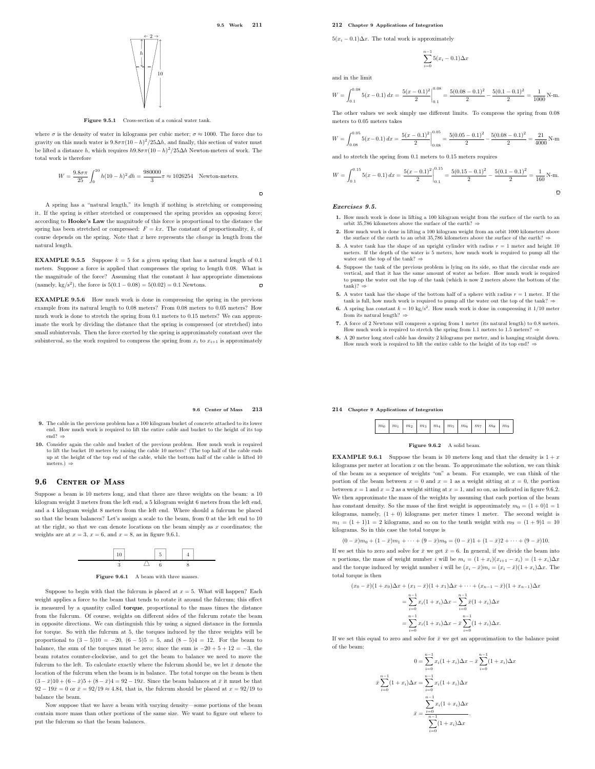$\Box$ 



 $5(x_i - 0.1)\Delta x$ . The total work is approximately

$$
\sum_{i=0}^{n-1} 5(x_i - 0.1)\Delta x
$$

and in the limit

$$
W = \int_{0.1}^{0.08} 5(x - 0.1) \, dx = \frac{5(x - 0.1)^2}{2} \bigg|_{0.1}^{0.08} = \frac{5(0.08 - 0.1)^2}{2} - \frac{5(0.1 - 0.1)^2}{2} = \frac{1}{1000} \, \text{N-m}.
$$

The other values we seek simply use different limits. To compress the spring from 0.08 meters to 0.05 meters takes

$$
W = \int_{0.08}^{0.05} 5(x - 0.1) \, dx = \left. \frac{5(x - 0.1)^2}{2} \right|_{0.08}^{0.05} = \frac{5(0.05 - 0.1)^2}{2} - \frac{5(0.08 - 0.1)^2}{2} = \frac{21}{4000} \text{ N-m}
$$

and to stretch the spring from 0.1 meters to 0.15 meters requires

$$
W = \int_{0.1}^{0.15} 5(x - 0.1) \, dx = \frac{5(x - 0.1)^2}{2} \Big|_{0.1}^{0.15} = \frac{5(0.15 - 0.1)^2}{2} - \frac{5(0.1 - 0.1)^2}{2} = \frac{1}{160} \, \text{N-m}.
$$

#### Exercises 9.5.

- 1. How much work is done in lifting a 100 kilogram weight from the surface of the earth to an orbit 35,786 kilometers above the surface of the earth? ⇒
- 2. How much work is done in lifting a 100 kilogram weight from an orbit 1000 kilometers above the surface of the earth to an orbit 35,786 kilometers above the surface of the earth? ⇒
- 3. A water tank has the shape of an upright cylinder with radius  $r = 1$  meter and height 10 meters. If the depth of the water is 5 meters, how much work is required to pump all the water out the top of the tank?  $\Rightarrow$
- 4. Suppose the tank of the previous problem is lying on its side, so that the circular ends are vertical, and that it has the same amount of water as before. How much work is required to pump the water out the top of the tank (which is now 2 meters above the bottom of the  $tank$ )?  $\Rightarrow$
- 5. A water tank has the shape of the bottom half of a sphere with radius  $r = 1$  meter. If the tank is full, how much work is required to pump all the water out the top of the tank?
- tank is full, how much work is required to pump all the water out the top of the tank? ⇒<br>6. A spring has constant  $k = 10 \text{ kg/s}^2$ . How much work is done in compressing it 1/10 meter<br>from its natural length? ⇒
- 7. A force of 2 Newtons will compress a spring from 1 meter (its natural length) to 0.8 meters. How much work is required to stretch the spring from 1.1 meters to 1.5 meters? =
- **8.** A 20 meter long steel cable has density 2 kilograms per meter, and is hanging straight down. How much work is required to lift the entire cable to the height of its top end? ⇒

#### 9.6 Center of Mass 213

- 9. The cable in the previous problem has a 100 kilogram bucket of concrete attached to its lower end. How much work is required to lift the entire cable and bucket to the height of its top end? $\Rightarrow$
- **10.** Consider again the cable and bucket of the previous problem. How much work is required to lift the bucket 10 meters by raising the cable l) meters? (The top half of the cable ends up at the height of the top end of t meters.) ⇒

### 9.6 CENTER OF MASS

Suppose a beam is 10 meters long, and that there are three weights on the beam: a 10 kilogram weight 3 meters from the left end, a 5 kilogram weight 6 meters from the left end, and a 4 kilogram weight 8 meters from the left end. Where should a fulcrum be placed so that the beam balances? Let's assign a scale to the beam, from 0 at the left end to 10 at the right, so that we can denote locations on the beam simply as  $x$  coordinates; the weights are at  $x = 3$ ,  $x = 6$ , and  $x = 8$ , as in figure 9.6.1.



Figure 9.6.1 A beam with three masses

Suppose to begin with that the fulcrum is placed at  $x = 5$ . What will happen? Each weight applies a force to the beam that tends to rotate it around the fulcrum; this effect is measured by a quantity called torque, proportional to the mass times the distance from the fulcrum. Of course, weights on different sides of the fulcrum rotate the beam in opposite directions. We can distinguish this by using a signed distance in the formula for torque. So with the fulcrum at 5, the torques induced by the three weights will be proportional to  $(3-5)10 = -20$ ,  $(6-5)5 = 5$ , and  $(8-5)4 = 12$ . For the beam to balance, the sum of the torques must be zero; since the sum is  $-20 + 5 + 12 = -3$ , the beam rotates counter-clockwise, and to get the beam to balance we need to move the fulcrum to the left. To calculate exactly where the fulcrum should be, we let  $\bar{x}$  denote the location of the fulcrum when the beam is in balance. The total torque on the beam is then  $(3 - \bar{x})10 + (6 - \bar{x})5 + (8 - \bar{x})4 = 92 - 19\bar{x}$ . Since the beam balances at  $\bar{x}$  it must be that  $92 - 19\bar{x} = 0$  or  $\bar{x} = 92/19 \approx 4.84$ , that is, the fulcrum should be placed at  $x = 92/19$  to balance the beam.

Now suppose that we have a beam with varying density—some portions of the beam contain more mass than other portions of the same size. We want to figure out where to put the fulcrum so that the beam balances.

Figure  $9.6.2$  A solid beam.

 $m_0$  |  $m_1$  |  $m_2$  |  $m_3$  |  $m_4$  |  $m_5$  |  $m_6$  |  $m_7$  |  $m_8$  |  $m_9$ 

214 Chapter 9 Applications of Integration

**EXAMPLE 9.6.1** Suppose the beam is 10 meters long and that the density is  $1 + x$ kilograms per meter at location  $x$  on the beam. To approximate the solution, we can think of the beam as a sequence of weights "on" a beam. For example, we can think of the portion of the beam between  $x = 0$  and  $x = 1$  as a weight sitting at  $x = 0$ , the portion between  $x = 1$  and  $x = 2$  as a weight sitting at  $x = 1$ , and so on, as indicated in figure 9.6.2. We then approximate the mass of the weights by assuming that each portion of the beam has constant density. So the mass of the first weight is approximately  $m_0 = (1 + 0)1 = 1$ kilograms, namely,  $(1 + 0)$  kilograms per meter times 1 meter. The second weight is  $m_1 = (1 + 1)1 = 2$  kilograms, and so on to the tenth weight with  $m_9 = (1 + 9)1 = 10$ kilograms. So in this case the total torque is

 $(0 - \bar{x})m_0 + (1 - \bar{x})m_1 + \cdots + (9 - \bar{x})m_9 = (0 - \bar{x})1 + (1 - \bar{x})2 + \cdots + (9 - \bar{x})10.$ 

If we set this to zero and solve for  $\bar{x}$  we get  $\bar{x} = 6$ . In general, if we divide the beam into n portions, the mass of weight number i will be  $m_i = (1 + x_i)(x_{i+1} - x_i) = (1 + x_i)\Delta x$ and the torque induced by weight number i will be  $(x_i - \bar{x})m_i = (x_i - \bar{x})(1 + x_i)\Delta x$ . The total torque is then

 $(x_0 - \bar{x})(1 + x_0)\Delta x + (x_1 - \bar{x})(1 + x_1)\Delta x + \cdots + (x_{n-1} - \bar{x})(1 + x_{n-1})\Delta x$ 

$$
= \sum_{i=0}^{n-1} x_i (1+x_i) \Delta x - \sum_{i=0}^{n-1} \bar{x} (1+x_i) \Delta x
$$

$$
= \sum_{i=0}^{n-1} x_i (1+x_i) \Delta x - \bar{x} \sum_{i=0}^{n-1} (1+x_i) \Delta x.
$$

If we set this equal to zero and solve for  $\bar{x}$  we get an approximation to the balance point of the beam:

$$
0 = \sum_{i=0}^{n-1} x_i (1 + x_i) \Delta x - \bar{x} \sum_{i=0}^{n-1} (1 + x_i) \Delta x
$$

$$
\bar{x} \sum_{i=0}^{n-1} (1 + x_i) \Delta x = \sum_{i=0}^{n-1} x_i (1 + x_i) \Delta x
$$

$$
\bar{x} = \frac{\sum_{i=0}^{n-1} x_i (1 + x_i) \Delta x}{\sum_{i=0}^{n-1} (1 + x_i) \Delta x}.
$$



Figure 9.5.1 Cross-section of a conical water tank.

where  $\sigma$  is the density of water in kilograms per cubic meter;  $\sigma \approx 1000$ . The force due to gravity on this much water is  $9.8\sigma\pi(10-h)^2/25\Delta h$ , and finally, this section of water must be lifted a distance h, which requires  $h9.8\sigma\pi(10-h)^2/25\Delta h$  Newton-meters of work. The total work is therefore

$$
W = \frac{9.8\sigma\pi}{25} \int_0^{10} h(10 - h)^2 dh = \frac{980000}{3} \pi \approx 1026254
$$
 Newton-meters.

A spring has a "natural length," its length if nothing is stretching or compressing it. If the spring is either stretched or compressed the spring provides an opposing force; according to Hooke's Law the magnitude of this force is proportional to the distance the spring has been stretched or compressed:  $F = kx$ . The constant of proportionality, k, of course depends on the spring. Note that  $x$  here represents the *change* in length from the natural length.

**EXAMPLE 9.5.5** Suppose  $k = 5$  for a given spring that has a natural length of 0.1 meters. Suppose a force is applied that compresses the spring to length 0.08. What is the magnitude of the force? Assuming that the constant  $k$  has appropriate dimensions (namely, kg/s<sup>2</sup>), the force is  $5(0.1 - 0.08) = 5(0.02) = 0.1$  Newtons.

EXAMPLE 9.5.6 How much work is done in compressing the spring in the previous example from its natural length to 0.08 meters? From 0.08 meters to 0.05 meters? How much work is done to stretch the spring from 0.1 meters to 0.15 meters? We can approximate the work by dividing the distance that the spring is compressed (or stretched) into small subintervals. Then the force exerted by the spring is approximately constant over the subinterval, so the work required to compress the spring from  $x_i$  to  $x_{i+1}$  is approximately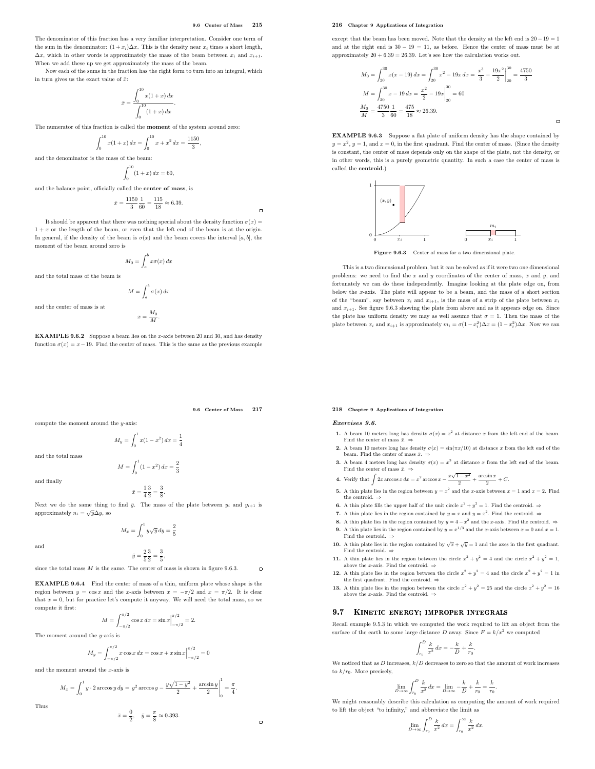,

The denominator of this fraction has a very familiar interpretation. Consider one term of the sum in the denominator:  $(1+x_i)\Delta x$ . This is the density near  $x_i$  times a short length,  $\Delta x$ , which in other words is approximately the mass of the beam between  $x_i$  and  $x_{i+1}$ . When we add these up we get approximately the mass of the beam.

Now each of the sums in the fraction has the right form to turn into an integral, which in turn gives us the exact value of  $\bar{x}$ :

$$
\bar{x} = \frac{\int_0^{10} x(1+x) \, dx}{\int_0^{10} (1+x) \, dx}.
$$

The numerator of this fraction is called the moment of the system around zero:

$$
\int_0^{10} x(1+x) dx = \int_0^{10} x + x^2 dx = \frac{1150}{3}
$$
the mass of the beam:

 $\int^{10}$ 

 $\int_{0}^{1} (1+x) dx = 60,$ 

and the balance point, officially called the center of mass, is

$$
\bar{x} = \frac{1150}{3} \frac{1}{60} = \frac{115}{18} \approx 6.39.
$$

It should be apparent that there was nothing special about the density function  $\sigma(x)$  =  $1 + x$  or the length of the beam, or even that the left end of the beam is at the origin. In general, if the density of the beam is  $\sigma(x)$  and the beam covers the interval [a, b], the moment of the beam around zero is

$$
M_0 = \int_a^b x \sigma(x) \, dx
$$

and the total mass of the beam is

$$
M = \int_{a}^{b} \sigma(x) \, dx
$$

and the center of mass is at

and the denominator is

$$
\bar{x} = \frac{M_0}{M}.
$$

EXAMPLE 9.6.2 Suppose a beam lies on the x-axis between 20 and 30, and has density function  $\sigma(x) = x - 19$ . Find the center of mass. This is the same as the previous example

9.6 Center of Mass 217

 $\Box$ 

 $\overline{a}$ 

compute the moment around the y-axis:

$$
M_y = \int_0^1 x(1 - x^2) \, dx = \frac{1}{4}
$$

and the total mass

and finally

$$
\bar{x} = \frac{1}{4} \frac{3}{2} =
$$

 $\bf{0}$ 

Next we do the same thing to find  $\bar{y}$ . The mass of the plate between  $y_i$  and  $y_{i+1}$  is approximately  $n_i = \sqrt{y} \Delta y$ , so

$$
M_x = \int_0^1 y\sqrt{y} \, dy = \frac{2}{5}
$$

and

$$
\bar{y} = \frac{2}{5} \frac{3}{2} = \frac{3}{5},
$$

since the total mass  $M$  is the same. The center of mass is shown in figure 9.6.3.

EXAMPLE 9.6.4 Find the center of mass of a thin, uniform plate whose shape is the region between  $y = \cos x$  and the x-axis between  $x = -\pi/2$  and  $x = \pi/2$ . It is clear that  $\bar{x} = 0$ , but for practice let's compute it anyway. We will need the total mass, so we compute it first:

$$
M = \int_{-\pi/2}^{\pi/2} \cos x \, dx = \sin x \Big|_{-\pi/2}^{\pi/2} = 2.
$$

The moment around the  $y$ -axis is

$$
M_y = \int_{-\pi/2}^{\pi/2} x \cos x \, dx = \cos x + x \sin x \Big|_{-\pi/2}^{\pi/2} = 0
$$

and the moment around the x-axis is

$$
M_x = \int_0^1 y \cdot 2 \arccos y \, dy = y^2 \arccos y - \frac{y\sqrt{1-y^2}}{2} + \frac{\arcsin y}{2} \bigg|_0^1 = \frac{\pi}{4}.
$$

Thus

$$
\bar{x} = \frac{0}{2}, \quad \bar{y} = \frac{\pi}{8} \approx 0.393.
$$

#### 216 Chapter 9 Applications of Integration

except that the beam has been moved. Note that the density at the left end is  $20-19=1$ and at the right end is  $30 - 19 = 11$ , as before. Hence the center of mass must be at approximately  $20 + 6.39 = 26.39$ . Let's see how the calculation works out.

$$
M_0 = \int_{20}^{30} x(x - 19) \, dx = \int_{20}^{30} x^2 - 19x \, dx = \left. \frac{x^3}{3} - \frac{19x^2}{2} \right|_{20}^{30} = \frac{4750}{3}
$$
\n
$$
M = \int_{20}^{30} x - 19 \, dx = \left. \frac{x^2}{2} - 19x \right|_{20}^{30} = 60
$$
\n
$$
\frac{M_0}{M} = \frac{4750}{3} \frac{1}{60} = \frac{475}{18} \approx 26.39.
$$

EXAMPLE 9.6.3 Suppose a flat plate of uniform density has the shape contained by  $y = x^2$ ,  $y = 1$ , and  $x = 0$ , in the first quadrant. Find the center of mass. (Since the density is constant, the center of mass depends only on the shape of the plate, not the density, or in other words, this is a purely geometric quantity. In such a case the center of mass is called the centroid.)



Figure 9.6.3 Center of mass for a two dimensional plate.

This is a two dimensional problem, but it can be solved as if it were two one dimensional problems: we need to find the x and y coordinates of the center of mass,  $\bar{x}$  and  $\bar{y}$ , and fortunately we can do these independently. Imagine looking at the plate edge on, from below the x-axis. The plate will appear to be a beam, and the mass of a short section of the "beam", say between  $x_i$  and  $x_{i+1}$ , is the mass of a strip of the plate between  $x_i$ and  $x_{i+1}$ . See figure 9.6.3 showing the plate from above and as it appears edge on. Since the plate has uniform density we may as well assume that  $\sigma = 1$ . Then the mass of the plate between  $x_i$  and  $x_{i+1}$  is approximately  $m_i = \sigma(1 - x_i^2)\Delta x = (1 - x_i^2)\Delta x$ . Now we can

#### 218 Chapter 9 Applications of Integration

#### Exercises 9.6.

- 1. A beam 10 meters long has density  $\sigma(x) = x^2$  at distance x from the left end of the beam. Find the center of mass  $\bar{x}$ .  $\Rightarrow$
- **2.** A beam 10 meters long has density  $\sigma(x) = \sin(\pi x/10)$  at distance x from the left end of the beam. Find the center of mass  $\bar{x}$ .  $\Rightarrow$
- 3. A beam 4 meters long has density  $\sigma(x) = x^3$  at distance x from the left end of the beam.<br>Find the center of mass  $\bar{x}$ .  $\Rightarrow$
- 4. Verify that  $\int 2x \arccos x \, dx = x^2 \arccos x \frac{x\sqrt{1-x^2}}{2} + \frac{\arcsin x}{2} + C$ .
- **5.** A thin plate lies in the region between  $y = x^2$  and the x-axis between  $x = 1$  and  $x = 2$ . Find **the centroid.**
- **6.** A thin plate fills the upper half of the unit circle  $x^2 + y^2 = 1$ . Find the centroid.  $\Rightarrow$
- 7. A thin plate lies in the region contained by  $y = x$  and  $y = x^2$ . Find the centroid.  $\Rightarrow$
- 8. A thin plate lies in the region contained by  $y = 4 x^2$  and the x-axis. Find the centroid.  $\Rightarrow$ **9.** A thin plate lies in the region contained by  $y = x^{1/3}$  and the x-axis between  $x = 0$  and  $x = 1$ .
- Find the centroid.  $\Rightarrow$ 10. A thin plate lies in the region contained by  $\sqrt{x} + \sqrt{y} = 1$  and the axes in the first quadrant.
- Find the centroid.  $\Rightarrow$ 11. A thin plate lies in the region between the circle  $x^2 + y^2 = 4$  and the circle  $x^2 + y^2 = 1$ ,
- above the x-axis. Find the centroid.  $\Rightarrow$ 12. A thin plate lies in the region between the circle  $x^2 + y^2 = 4$  and the circle  $x^2 + y^2 = 1$  in the first quadrant. Find the centroid. ⇒
- 13. A thin plate lies in the region between the circle  $x^2 + y^2 = 25$  and the circle  $x^2 + y^2 = 16$ above the x-axis. Find the centroid.  $=$

#### 9.7 KINETIC ENERGY; IMPROPER INTEGRALS

Recall example 9.5.3 in which we computed the work required to lift an object from the surface of the earth to some large distance  $D$  away. Since  $F = k/x^2$  we computed

$$
\int_{r_0}^{D} \frac{k}{x^2} dx = -\frac{k}{D} + \frac{k}{r_0}.
$$

We noticed that as  $D$  increases,  $k/D$  decreases to zero so that the amount of work increases to  $k/r_0$ . More precisely,

$$
\lim_{D\to\infty}\int_{r_0}^D\frac{k}{x^2}\,dx=\lim_{D\to\infty}-\frac{k}{D}+\frac{k}{r_0}=\frac{k}{r_0}.
$$

We might reasonably describe this calculation as computing the amount of work required to lift the object "to infinity," and abbreviate the limit as

$$
\lim_{D\to\infty}\int_{r_0}^D\frac{k}{x^2}\,dx=\int_{r_0}^\infty\frac{k}{x^2}\,dx.
$$

 $M = \int_1^1 (1 - x^2) dx = \frac{2}{3}$ 3 3 .

8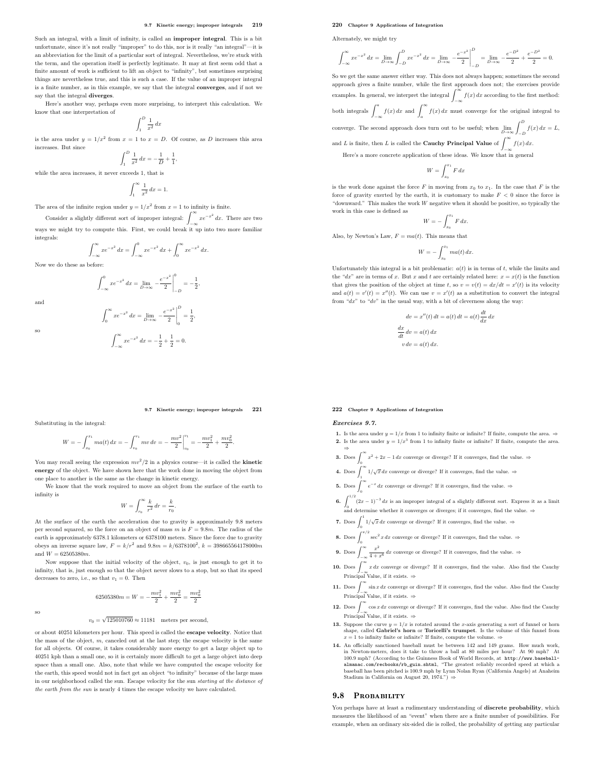#### 9.7 Kinetic energy; improper integrals 219

Such an integral, with a limit of infinity, is called an improper integral. This is a bit unfortunate, since it's not really "improper" to do this, nor is it really "an integral"—it is an abbreviation for the limit of a particular sort of integral. Nevertheless, we're stuck with the term, and the operation itself is perfectly legitimate. It may at first seem odd that a finite amount of work is sufficient to lift an object to "infinity", but sometimes surprising things are nevertheless true, and this is such a case. If the value of an improper integral is a finite number, as in this example, we say that the integral converges, and if not we say that the integral diverges.

Here's another way, perhaps even more surprising, to interpret this calculation. We know that one interpretation of

> $\int^D$ 1 1  $\frac{1}{x^2}$  dx

is the area under  $y = 1/x^2$  from  $x = 1$  to  $x = D$ . Of course, as D increases this area increases. But since  $\int^D$ 

 $\frac{1}{1}$ 

1  $\frac{1}{x^2} dx = -\frac{1}{L}$  $\frac{1}{D} + \frac{1}{1}$ while the area increases, it never exceeds 1, that

> $\int_0^\infty$  1 1  $\frac{1}{x^2} dx = 1.$

The area of the infinite region under  $y = 1/x^2$  from  $x = 1$  to infinity is finite.

Consider a slightly different sort of improper integral:  $\int_{-\infty}^{\infty} xe^{-x^2} dx$ . There are two ways we might try to compute this. First, we could break it up into two more familiar integrals:

$$
\int_{-\infty}^{\infty} xe^{-x^2} dx = \int_{-\infty}^{0} xe^{-x^2} dx + \int_{0}^{\infty} xe^{-x^2} dx.
$$

Now we do these as before:

$$
\int_{-\infty}^0 xe^{-x^2} dx = \lim_{D \to \infty} - \frac{e^{-x^2}}{2} \bigg|_{-D}^0 = -\frac{1}{2},
$$

and

so

$$
\int_0^\infty xe^{-x^2} dx = \lim_{D \to \infty} -\frac{e^{-x^2}}{2}
$$

$$
\int_{-\infty}^{\infty} xe^{-x^2} dx = -\frac{1}{2} + \frac{1}{2} = 0.
$$

2  $\overline{\phantom{a}}$ ļ  $\frac{D}{2} = \frac{1}{2}$  $\mathbf{0}$  $\frac{1}{2}$ 

#### 9.7 Kinetic energy; improper integrals 221

Substituting in the integral:

$$
W = -\int_{x_0}^{x_1} ma(t) \, dx = -\int_{v_0}^{v_1} mv \, dv = -\left. \frac{mv^2}{2} \right|_{v_0}^{v_1} = -\frac{mv_1^2}{2} + \frac{mv_0^2}{2}.
$$

You may recall seeing the expression  $mv^2/2$  in a physics course—it is called the **kinetic** energy of the object. We have shown here that the work done in moving the object from one place to another is the same as the change in kinetic energy.

We know that the work required to move an object from the surface of the earth to infinity is

$$
W=\int_{r_0}^\infty \frac{k}{r^2}\,dr=\frac{k}{r_0}.
$$

At the surface of the earth the acceleration due to gravity is approximately 9.8 meters per second squared, so the force on an object of mass m is  $F = 9.8m$ . The radius of the earth is approximately 6378.1 kilometers or 6378100 meters. Since the force due to gravity obeys an inverse square law,  $F = k/r^2$  and  $9.8m = k/6378100^2$ ,  $k = 398665564178000m$ and  $W = 62505380m$ .

Now suppose that the initial velocity of the object,  $v_0$ , is just enough to get it to infinity, that is, just enough so that the object never slows to a stop, but so that its speed decreases to zero, i.e., so that  $v_1 = 0$ . Then

$$
62505380m=W=-\frac{mv_1^2}{2}+\frac{mv_0^2}{2}=\frac{mv_0^2}{2}
$$

so

## $v_0 = \sqrt{125010760} \approx 11181$  meters per second,

or about 40251 kilometers per hour. This speed is called the escape velocity. Notice that the mass of the object,  $m$ , canceled out at the last step; the escape velocity is the same for all objects. Of course, it takes considerably more energy to get a large object up to 40251 kph than a small one, so it is certainly more difficult to get a large object into deep space than a small one. Also, note that while we have computed the escape velocity for the earth, this speed would not in fact get an object "to infinity" because of the large mass in our neighborhood called the sun. Escape velocity for the sun starting at the distance of the earth from the sun is nearly 4 times the escape velocity we have calculated.

#### 220 Chapter 9 Applications of Integration

Alternately, we might try

$$
\int_{-\infty}^{\infty} x e^{-x^2} \, dx = \lim_{D \to \infty} \int_{-D}^{D} x e^{-x^2} \, dx = \lim_{D \to \infty} \left. - \frac{e^{-x^2}}{2} \right|_{-D}^{D} = \lim_{D \to \infty} \left. - \frac{e^{-D^2}}{2} + \frac{e^{-D^2}}{2} = 0.
$$

So we get the same answer either way. This does not always happen; sometimes the second approach gives a finite number, while the first approach does not; the exercises provide examples. In general, we interpret the integral  $\int_{-\infty}^{\infty} f(x) dx$  according to the first method: both integrals  $\int_{-\infty}^{a} f(x) dx$  and  $\int_{a}^{\infty} f(x) dx$  must converge for the original integral to converge. The second approach does turn out to be useful; when  $\lim_{D\to\infty}\int_{-D}^D f(x)\,dx = L$ ,

and L is finite, then L is called the **Cauchy Principal Value** of  $\int_{-\infty}^{\infty} f(x) dx$ .

Here's a more concrete application of these ideas. We know that in general

$$
W=\int_{x_0}^{x_1}F\,dx
$$

is the work done against the force F in moving from  $x_0$  to  $x_1$ . In the case that F is the force of gravity exerted by the earth, it is customary to make  $F < 0$  since the force is "downward." This makes the work  $W$  negative when it should be positive, so typically the work in this case is defined as

$$
W = -\int_{x_0}^{x_1} F dx.
$$

Also, by Newton's Law,  $F = ma(t)$ . This means that

$$
W = -\int_{x_0}^{x_1} ma(t) \, dx.
$$

Unfortunately this integral is a bit problematic:  $a(t)$  is in terms of t, while the limits and the "dx" are in terms of x. But x and t are certainly related here:  $x = x(t)$  is the function that gives the position of the object at time t, so  $v = v(t) = dx/dt = x'(t)$  is its velocity and  $a(t) = v'(t) = x''(t)$ . We can use  $v = x'(t)$  as a substitution to convert the integral from " $dx$ " to " $dv$ " in the usual way, with a bit of cleverness along the way:

$$
dv = x''(t) dt = a(t) dt = a(t) \frac{dt}{dx} dx
$$

$$
\frac{dx}{dt} dv = a(t) dx
$$

$$
v dv = a(t) dx
$$

#### 222 Chapter 9 Applications of Integration

#### Exercises 9.7.

- 1. Is the area under  $y = 1/x$  from 1 to infinity finite or infinite? If finite, compute the area.  $\Rightarrow$ 2. Is the area under  $y = 1/x^3$  from 1 to infinity finite or infinite? If finite, compute the area.
- ⇒  $\int_0^\infty x^2 + 2x 1 dx$  converge or diverge? If it converges, find the value. ⇒
- **4.** Does  $\int_{-\infty}^{\infty} 1/\sqrt{x} dx$  converge or diverge? If it converges, find the value.  $\Rightarrow$
- 1 **5.** Does  $\int_0^\infty e^{-x} dx$  converge or diverge? If it converges, find the value.  $\Rightarrow$
- **6.**  $\int_0^{1/2} (2x-1)^{-3} dx$  is an improper integral of a slightly different sort. Express it as a limit and determine whether it converges or diverges; if it converges, find the value.  $\Rightarrow$
- 7. Does  $\int_0^1 1/\sqrt{x} dx$  converge or diverge? If it converges, find the value.  $\Rightarrow$
- **8.** Does  $\int_{0}^{\pi/2} \sec^2 x \, dx$  converge or diverge? If it converges, find the value.  $\Rightarrow$
- 9. Does  $\int_{-\infty}^{\infty} \frac{x^2}{4+x^6} dx$  converge or diverge? If it converges, find the value.  $\Rightarrow$
- 10. Does  $\int_{-\infty}^{\infty} x dx$  converge or diverge? If it converges, find the value. Also find the Cauchy  $J_{-\infty}$ <br>Principal Value, if it exists. ⇒
- 11. Does  $\int_{-\infty}^{\infty} \sin x \, dx$  converge or diverge? If it converges, find the value. Also find the Cauchy Principal Value, if it exists.  $\Rightarrow$
- 12. Does  $\int_{-\infty}^{\infty} \cos x \, dx$  converge or diverge? If it converges, find the value. Also find the Cauchy  $J_{-\infty}$ <br>Principal Value, if it exists. ⇒
- 13. Suppose the curve  $y = 1/x$  is rotated around the x-axis generating a sort of funnel or horn shape, called Gabriel's horn or Toricelli's trumpet. Is the volume of this funnel from  $x=1$  to infinity finite or infinite? If finite, compute the volume.  $\Rightarrow$
- 14. An officially sanctioned baseball must be between 142 and 149 grams. How much work, in Newton-meters, does it take to throw a ball at 80 miles per hour? At 90 mph? At 100.9 mph? (According to the Guinness Book of World Records, at http://www.baseball-almanac.com/recbooks/rb\_guin.shtml, "The greatest reliably recorded speed at which a baseball has been pitched is 100.9 mph by Lynn Nolan Ryan (California Angels) at Anaheim Stadium in California on August 20, 1974.") ⇒

#### 9.8 PROBABILITY

You perhaps have at least a rudimentary understanding of discrete probability, which measures the likelihood of an "event" when there are a finite number of possibilities. For example, when an ordinary six-sided die is rolled, the probability of getting any particular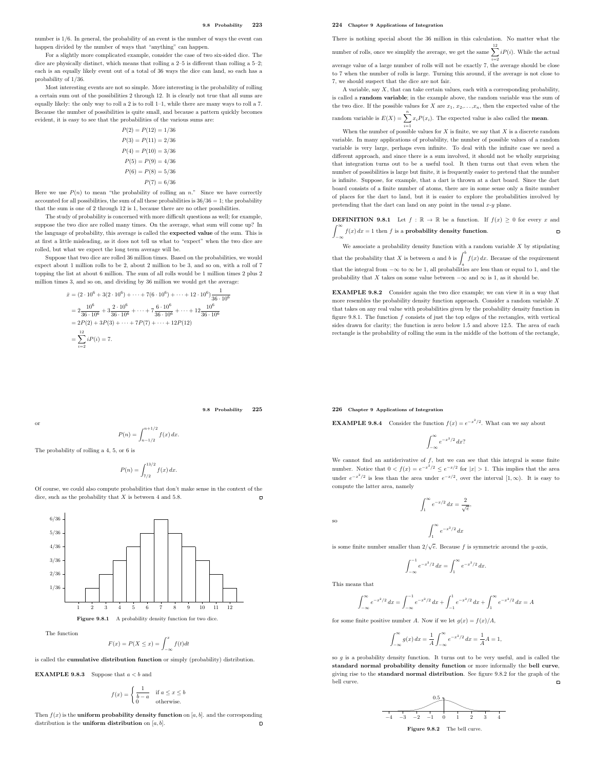number is 1/6. In general, the probability of an event is the number of ways the event can happen divided by the number of ways that "anything" can happen.

For a slightly more complicated example, consider the case of two six-sided dice. The dice are physically distinct, which means that rolling a 2–5 is different than rolling a 5–2; each is an equally likely event out of a total of 36 ways the dice can land, so each has a probability of 1/36.

Most interesting events are not so simple. More interesting is the probability of rolling a certain sum out of the possibilities 2 through 12. It is clearly not true that all sums are equally likely: the only way to roll a 2 is to roll  $1-1$ , while there are many ways to roll a 7. Because the number of possibilities is quite small, and because a pattern quickly becomes evident, it is easy to see that the probabilities of the various sums are:

$$
P(2) = P(12) = 1/36
$$
  
\n
$$
P(3) = P(11) = 2/36
$$
  
\n
$$
P(4) = P(10) = 3/36
$$
  
\n
$$
P(5) = P(9) = 4/36
$$
  
\n
$$
P(6) = P(8) = 5/36
$$
  
\n
$$
P(7) = 6/36
$$

Here we use  $P(n)$  to mean "the probability of rolling an n." Since we have correctly accounted for all possibilities, the sum of all these probabilities is  $36/36 = 1$ ; the probability that the sum is one of 2 through 12 is 1, because there are no other possibilities.

The study of probability is concerned with more difficult questions as well; for example, suppose the two dice are rolled many times. On the average, what sum will come up? In the language of probability, this average is called the expected value of the sum. This is at first a little misleading, as it does not tell us what to "expect" when the two dice are rolled, but what we expect the long term average will be.

Suppose that two dice are rolled 36 million times. Based on the probabilities, we would expect about 1 million rolls to be 2, about 2 million to be 3, and so on, with a roll of 7 topping the list at about 6 million. The sum of all rolls would be 1 million times 2 plus 2 million times 3, and so on, and dividing by 36 million we would get the average:

$$
\begin{aligned}\n\bar{x} &= (2 \cdot 10^6 + 3(2 \cdot 10^6) + \dots + 7(6 \cdot 10^6) + \dots + 12 \cdot 10^6) \frac{1}{36 \cdot 10^6} \\
&= 2 \frac{10^6}{36 \cdot 10^6} + 3 \frac{2 \cdot 10^6}{36 \cdot 10^6} + \dots + 7 \frac{6 \cdot 10^6}{36 \cdot 10^6} + \dots + 12 \frac{10^6}{36 \cdot 10^6} \\
&= 2P(2) + 3P(3) + \dots + 7P(7) + \dots + 12P(12) \\
&= \sum_{i=2}^{12} iP(i) = 7.\n\end{aligned}
$$

9.8 Probability 225

The probability of rolling a 4, 5, or 6 is

$$
P(n) = \int_{7/2}^{13/2} f(x) \, dx.
$$

 $P(n) = \int_{n-1/2}^{n+1/2} f(x) dx.$ 

Of course, we could also compute probabilities that don't make sense in the context of the dice, such as the probability that  $X$  is between 4 and 5.8.



The function

 $F(x) = P(X \leq x) = \int_{-\infty}^{x} f(t)dt$ 

is called the cumulative distribution function or simply (probability) distribution.

**EXAMPLE 9.8.3** Suppose that  $a < b$  and

$$
f(x) = \begin{cases} \frac{1}{b-a} & \text{if } a \le x \le b \\ 0 & \text{otherwise.} \end{cases}
$$

Then  $f(x)$  is the **uniform probability density function** on [a, b]. and the corresponding distribution is the **uniform distribution** on  $[a, b]$ .  $\Box$ 

#### 224 Chapter 9 Applications of Integration

There is nothing special about the 36 million in this calculation. No matter what the number of rolls, once we simplify the average, we get the same  $\sum_{i=1}^{12} iP(i)$ . While the actual

average value of a large number of rolls will not be exactly 7, the average should be close to 7 when the number of rolls is large. Turning this around, if the average is not close to 7, we should suspect that the dice are not fair.

A variable, say X, that can take certain values, each with a corresponding probability, is called a random variable; in the example above, the random variable was the sum of the two dice. If the possible values for X are  $x_1, x_2, \ldots, x_n$ , then the expected value of the

random variable is  $E(X) = \sum_{i=1}^{n} x_i P(x_i)$ . The expected value is also called the **mean**.

When the number of possible values for X is finite, we say that X is a discrete random variable. In many applications of probability, the number of possible values of a random variable is very large, perhaps even infinite. To deal with the infinite case we need a different approach, and since there is a sum involved, it should not be wholly surprising that integration turns out to be a useful tool. It then turns out that even when the number of possibilities is large but finite, it is frequently easier to pretend that the number is infinite. Suppose, for example, that a dart is thrown at a dart board. Since the dart board consists of a finite number of atoms, there are in some sense only a finite number of places for the dart to land, but it is easier to explore the probabilities involved by pretending that the dart can land on any point in the usual  $x-y$  plane.

**DEFINITION 9.8.1** Let  $f : \mathbb{R} \to \mathbb{R}$  be a function. If  $f(x) \ge 0$  for every x and  $\int_{-\infty}^{\infty} f(x) dx = 1$  then f is a probability density function.  $\Box$ 

We associate a probability density function with a random variable  $X$  by stipulating that the probability that X is between a and b is  $\int_0^b f(x) dx$ . Because of the requirement that the integral from  $-\infty$  to  $\infty$  be 1, all probabilities are less than or equal to 1, and the probability that X takes on some value between  $-\infty$  and  $\infty$  is 1, as it should be.

EXAMPLE 9.8.2 Consider again the two dice example; we can view it in a way that more resembles the probability density function approach. Consider a random variable X that takes on any real value with probabilities given by the probability density function in figure 9.8.1. The function  $f$  consists of just the top edges of the rectangles, with vertical sides drawn for clarity; the function is zero below 1.5 and above 12.5. The area of each rectangle is the probability of rolling the sum in the middle of the bottom of the rectangle,

226 Chapter 9 Applications of Integration

**EXAMPLE 9.8.4** Consider the function  $f(x) = e^{-x^2/2}$ . What can we say about

$$
\int_{-\infty}^{\infty} e^{-x^2/2} \, dx?
$$

We cannot find an antiderivative of  $f$ , but we can see that this integral is some finite number. Notice that  $0 < f(x) = e^{-x^2/2} \le e^{-x/2}$  for  $|x| > 1$ . This implies that the area under  $e^{-x^2/2}$  is less than the area under  $e^{-x/2}$ , over the interval  $[1,\infty)$ . It is easy to compute the latter area, namely

$$
\int_{1}^{\infty} e^{-x/2} dx = \frac{2}{\sqrt{e}}
$$

 $\int_0^\infty e^{-x^2/2} dx$ 

,

so

1 is some finite number smaller than  $2/\sqrt{e}$ . Because f is symmetric around the y-axis,

$$
\int_{-\infty}^{-1} e^{-x^2/2} dx = \int_{1}^{\infty} e^{-x^2/2} dx.
$$

This means that

$$
\int_{-\infty}^{\infty} e^{-x^2/2} dx = \int_{-\infty}^{-1} e^{-x^2/2} dx + \int_{-1}^{1} e^{-x^2/2} dx + \int_{1}^{\infty} e^{-x^2/2} dx = A
$$

for some finite positive number A. Now if we let  $g(x) = f(x)/A$ ,

$$
\int_{-\infty}^{\infty} g(x) dx = \frac{1}{A} \int_{-\infty}^{\infty} e^{-x^2/2} dx = \frac{1}{A} A = 1,
$$

so  $g$  is a probability density function. It turns out to be very useful, and is called the standard normal probability density function or more informally the bell curve, giving rise to the standard normal distribution. See figure 9.8.2 for the graph of the bell curve.

−4 −3 −2 −1 0 1 2 3 4 0.5 ...................................................................................................................................................................................................................................................................................................................................................................................................................................

Figure 9.8.2 The bell curve.

or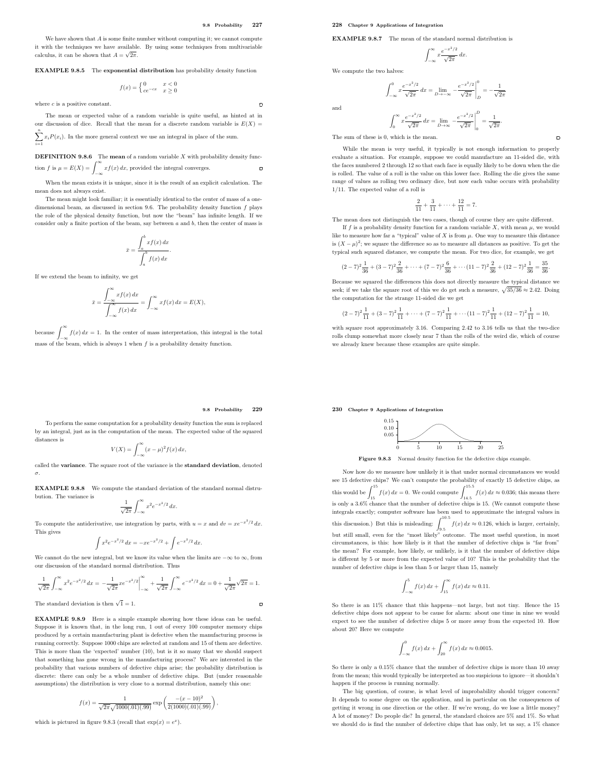$\overline{a}$ 

We have shown that  $A$  is some finite number without computing it; we cannot compute it with the techniques we have available. By using some techniques from multivariable calculus, it can be shown that  $A = \sqrt{2\pi}$ .

EXAMPLE 9.8.5 The exponential distribution has probability density function

$$
f(x) = \begin{cases} 0 & x < 0\\ ce^{-cx} & x \ge 0 \end{cases}
$$

where  $c$  is a positive constant.

The mean or expected value of a random variable is quite useful, as hinted at in our discussion of dice. Recall that the mean for a discrete random variable is  $E(X)$  =  $\sum_{i=1}^{n} x_i P(x_i)$ . In the more general context we use an integral in place of the sum.  $i=1$ 

**DEFINITION 9.8.6** The **mean** of a random variable  $X$  with probability density function f is  $\mu = E(X) = \int_{-\infty}^{\infty} x f(x) dx$ , provided the integral converges.  $\Gamma$ 

When the mean exists it is unique, since it is the result of an explicit calculation. The mean does not always exist.

The mean might look familiar; it is essentially identical to the center of mass of a onedimensional beam, as discussed in section 9.6. The probability density function  $f$  plays the role of the physical density function, but now the "beam" has infinite length. If we consider only a finite portion of the beam, say between  $a$  and  $b$ , then the center of mass is

$$
\bar{x} = \frac{\int_a^b x f(x) \, dx}{\int_a^b f(x) \, dx}
$$

.

If we extend the beam to infinity, we get

$$
\bar{x} = \frac{\int_{-\infty}^{\infty} x f(x) dx}{\int_{-\infty}^{\infty} f(x) dx} = \int_{-\infty}^{\infty} x f(x) dx = E(X),
$$

because  $\int_{-\infty}^{\infty} f(x) dx = 1$ . In the center of mass interpretation, this integral is the total mass of the beam, which is always 1 when f is a probability density function.

#### 228 Chapter 9 Applications of Integration

EXAMPLE 9.8.7 The mean of the standard normal distribution is

$$
\int_{-\infty}^{\infty} x \frac{e^{-x^2/2}}{\sqrt{2\pi}} dx.
$$

 $\int_{-\infty}^{0} x \frac{e^{-x^2/2}}{\sqrt{2\pi}} dx = \lim_{D \to -\infty} -\frac{e^{-x^2/2}}{\sqrt{2\pi}}$ 

We compute the two halves:

 $(2)$ 

$$
\int_{-\infty}^{0} x \frac{e^{-x^2/2}}{\sqrt{2\pi}} dx = \lim_{D \to \infty} \left. -\frac{e^{-x^2/2}}{\sqrt{2\pi}} \right|_{D}^{0} = -\frac{1}{\sqrt{2}}.
$$

$$
\int_{0}^{\infty} x \frac{e^{-x^2/2}}{\sqrt{2\pi}} dx = \lim_{D \to \infty} \left. -\frac{e^{-x^2/2}}{\sqrt{2\pi}} \right|_{0}^{D} = \frac{1}{\sqrt{2\pi}}.
$$

 $=\frac{1}{\sqrt{2\pi}}$ 

2π

.

 $\blacksquare$ 

The sum of these is 0, which is the mean.

While the mean is very useful, it typically is not enough information to properly evaluate a situation. For example, suppose we could manufacture an 11-sided die, with the faces numbered 2 through 12 so that each face is equally likely to be down when the die is rolled. The value of a roll is the value on this lower face. Rolling the die gives the same range of values as rolling two ordinary dice, but now each value occurs with probability 1/11. The expected value of a roll is

$$
\frac{2}{11} + \frac{3}{11} + \dots + \frac{12}{11} = 7.
$$

The mean does not distinguish the two cases, though of course they are quite different. If f is a probability density function for a random variable  $X$ , with mean  $\mu$ , we would

like to measure how far a "typical" value of X is from  $\mu$ . One way to measure this distance is  $(X - \mu)^2$ ; we square the difference so as to measure all distances as positive. To get the typical such squared distance, we compute the mean. For two dice, for example, we get

$$
-7)^2 \frac{1}{36} + (3-7)^2 \frac{2}{36} + \dots + (7-7)^2 \frac{6}{36} + \dots + (11-7)^2 \frac{2}{36} + (12-7)^2 \frac{1}{36} = \frac{35}{36}
$$

Because we squared the differences this does not directly measure the typical distance we seek; if we take the square root of this we do get such a measure,  $\sqrt{35/36} \approx 2.42$ . Doing the computation for the strange 11-sided die we get

 $(2-7)^2\frac{1}{11}$  $\frac{1}{11} + (3-7)^2 \frac{1}{11}$  $\frac{1}{11} + \cdots + (7-7)^2 \frac{1}{11}$  $\frac{1}{11} + \cdots (11-7)^2 \frac{1}{11}$  $\frac{1}{11} + (12 - 7)^2 \frac{1}{11}$  $\frac{1}{11} = 10,$ 

with square root approximately 3.16. Comparing 2.42 to 3.16 tells us that the two-dice rolls clump somewhat more closely near 7 than the rolls of the weird die, which of course we already knew because these examples are quite simple.

230 Chapter 9 Applications of Integration

### 9.8 Probability 229

 $\overline{a}$ 

To perform the same computation for a probability density function the sum is replaced by an integral, just as in the computation of the mean. The expected value of the squared distances is

$$
V(X) = \int_{-\infty}^{\infty} (x - \mu)^2 f(x) \, dx,
$$

called the **variance**. The square root of the variance is the **standard deviation**, denoted σ.

EXAMPLE 9.8.8 We compute the standard deviation of the standard normal distrubution. The variance is

$$
\frac{1}{\sqrt{2\pi}}\int_{-\infty}^{\infty}x^2e^{-x^2/2}\,dx.
$$

To compute the antiderivative, use integration by parts, with  $u = x$  and  $dv = xe^{-x^2/2} dx$ . This gives

$$
\int x^2 e^{-x^2/2} dx = -xe^{-x^2/2} + \int e^{-x^2/2} dx.
$$

We cannot do the new integral, but we know its value when the limits are  $-\infty$  to  $\infty$ , from our discussion of the standard normal distribution. Thus

$$
\frac{1}{\sqrt{2\pi}}\int_{-\infty}^{\infty}x^2e^{-x^2/2}\,dx=-\frac{1}{\sqrt{2\pi}}xe^{-x^2/2}\bigg|_{-\infty}^{\infty}+\frac{1}{\sqrt{2\pi}}\int_{-\infty}^{\infty}e^{-x^2/2}\,dx=0+\frac{1}{\sqrt{2\pi}}\sqrt{2\pi}=1.
$$

The standard deviation is then  $\sqrt{1} = 1$ .

EXAMPLE 9.8.9 Here is a simple example showing how these ideas can be useful. Suppose it is known that, in the long run, 1 out of every 100 computer memory chips produced by a certain manufacturing plant is defective when the manufacturing process is running correctly. Suppose 1000 chips are selected at random and 15 of them are defective. This is more than the 'expected' number (10), but is it so many that we should suspect that something has gone wrong in the manufacturing process? We are interested in the probability that various numbers of defective chips arise; the probability distribution is discrete: there can only be a whole number of defective chips. But (under reasonable assumptions) the distribution is very close to a normal distribution, namely this one:

$$
f(x) = \frac{1}{\sqrt{2\pi}\sqrt{1000(.01)(.99)}} \exp\left(\frac{-(x-10)^2}{2(1000)(.01)(.99)}\right),\,
$$

which is pictured in figure 9.8.3 (recall that  $\exp(x) = e^x$ ).



Figure 9.8.3 Normal density function for the defective chips example.

Now how do we measure how unlikely it is that under normal circumstances we would see 15 defective chips? We can't compute the probability of exactly 15 defective chips, as this would be  $\int_{15}^{15} f(x) dx = 0$ . We could compute  $\int_{14.5}^{15.5} f(x) dx \approx 0.036$ ; this means there is only a 3.6% chance that the number of defective chips is 15. (We cannot compute these integrals exactly; computer software has been used to approximate the integral values in this discussion.) But this is misleading:  $\int_{9.5}^{10.5} f(x) dx \approx 0.126$ , which is larger, certainly, but still small, even for the "most likely" outcome. The most useful question, in most circumstances, is this: how likely is it that the number of defective chips is "far from" the mean? For example, how likely, or unlikely, is it that the number of defective chips is different by 5 or more from the expected value of 10? This is the probability that the number of defective chips is less than 5 or larger than 15, namely

$$
\int_{-\infty}^{5} f(x) dx + \int_{15}^{\infty} f(x) dx \approx 0.11.
$$

So there is an 11% chance that this happens—not large, but not tiny. Hence the 15 defective chips does not appear to be cause for alarm: about one time in nine we would expect to see the number of defective chips 5 or more away from the expected 10. How about 20? Here we compute

$$
\int_{-\infty}^{0} f(x) dx + \int_{20}^{\infty} f(x) dx \approx 0.0015.
$$

So there is only a 0.15% chance that the number of defective chips is more than 10 away from the mean; this would typically be interpreted as too suspicious to ignore—it shouldn't happen if the process is running normally.

The big question, of course, is what level of improbability should trigger concern? It depends to some degree on the application, and in particular on the consequences of getting it wrong in one direction or the other. If we're wrong, do we lose a little money? A lot of money? Do people die? In general, the standard choices are 5% and 1%. So what we should do is find the number of defective chips that has only, let us say, a 1% chance

and

 $J_0$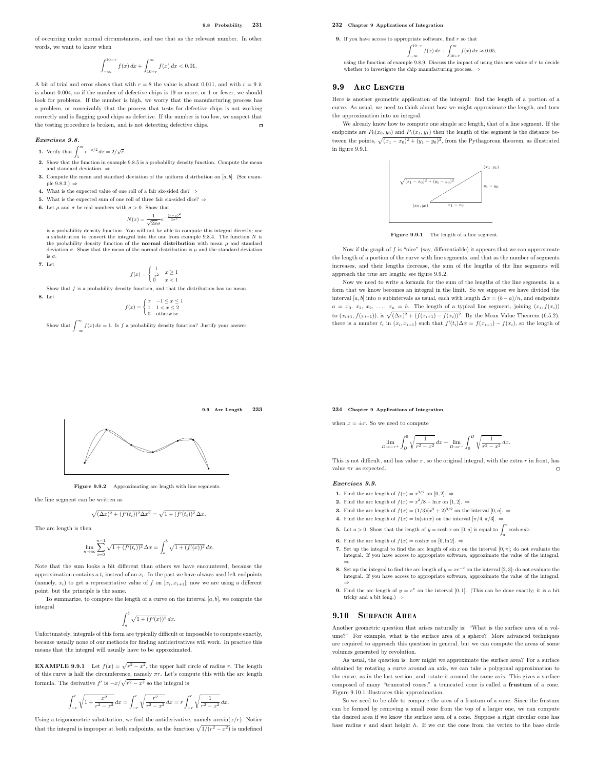9.9 Arc Length 233

of occurring under normal circumstances, and use that as the relevant number. In other words, we want to know when

$$
\int_{-\infty}^{10-r} f(x) \, dx + \int_{10+r}^{\infty} f(x) \, dx < 0.01.
$$

A bit of trial and error shows that with  $r = 8$  the value is about 0.011, and with  $r = 9$  it is about 0.004, so if the number of defective chips is 19 or more, or 1 or fewer, we should look for problems. If the number is high, we worry that the manufacturing process has a problem, or conceivably that the process that tests for defective chips is not working correctly and is flagging good chips as defective. If the number is too low, we suspect that the testing procedure is broken, and is not detecting defective chips.  $\Box$ 

#### Exercises 9.8.

- **1.** Verify that  $\int_1^\infty e^{-x/2} dx = 2/\sqrt{e}$ .
- 2. Show that the function in example 9.8.5 is a probability density function. Compute the mean and standard deviation. ⇒
- 3. Compute the mean and standard deviation of the uniform distribution on  $[a, b]$ . (See example  $9.8.3.$ )  $\Rightarrow$
- 4. What is the expected value of one roll of a fair six-sided die? ⇒
- 5. What is the expected sum of one roll of three fair six-sided dice? ⇒
- 6. Let  $\mu$  and  $\sigma$  be real numbers with  $\sigma > 0$ . Show that

 $N(x) = \frac{1}{\sqrt{2\pi}\sigma}e^{-\frac{(x-\mu)^2}{2\sigma^2}}$ 

is a probability density function. You will not be able to compute this integral directly; use a substitution to convert the integral into the one from example 9.8.4. The function N is<br>the probability density function of the **normal distribution** with mean  $\mu$  and standard deviation  $\sigma$ . Show that the mean of the normal distribution is  $\mu$  and the standard deviation is σ.

$$
f(x) = \begin{cases} \frac{1}{x^2} & x \ge 1\\ 0 & x < 1 \end{cases}
$$

Show that  $f$  is a probability density function, and that the distribution has no mean

8. Let

7. Let

$$
f(x) = \begin{cases} x & -1 \le x \le 1 \\ 1 & 1 < x \le 2 \\ 0 & \text{otherwise.} \end{cases}
$$

Show that  $\int_{-\infty}^{\infty} f(x) dx = 1$ . Is f a probability density function? Justify your answer.

#### 232 Chapter 9 Applications of Integration

**9.** If you have access to appropriate software, find  $r$  so that

$$
\int_{-\infty}^{10-r} f(x) \, dx + \int_{10+r}^{\infty} f(x) \, dx \approx 0.05,
$$

 $J_{-\infty}$   $J_{10+r}$ <br>using the function of example 9.8.9. Discuss the impact of using this new value of r to decide whether to investigate the chip manufacturing process. ⇒

#### $9.9$ ARC LENGTH

Here is another geometric application of the integral: find the length of a portion of a curve. As usual, we need to think about how we might approximate the length, and turn the approximation into an integral.

We already know how to compute one simple arc length, that of a line segment. If the endpoints are  $P_0(x_0, y_0)$  and  $P_1(x_1, y_1)$  then the length of the segment is the distance between the points,  $\sqrt{(x_1 - x_0)^2 + (y_1 - y_0)^2}$ , from the Pythagorean theorem, as illustrated in figure 9.9.1.



Figure 9.9.1 The length of a line segment.

Now if the graph of  $f$  is "nice" (say, differentiable) it appears that we can approximate the length of a portion of the curve with line segments, and that as the number of segments increases, and their lengths decrease, the sum of the lengths of the line segments will approach the true arc length; see figure 9.9.2.

Now we need to write a formula for the sum of the lengths of the line segments, in a form that we know becomes an integral in the limit. So we suppose we have divided the interval [a, b] into n subintervals as usual, each with length  $\Delta x = (b - a)/n$ , and endpoints  $a = x_0, x_1, x_2, \ldots, x_n = b$ . The length of a typical line segment, joining  $(x_i, f(x_i))$ to  $(x_{i+1}, f(x_{i+1}))$ , is  $\sqrt{(\Delta x)^2 + (f(x_{i+1}) - f(x_i))^2}$ . By the Mean Value Theorem (6.5.2), there is a number  $t_i$  in  $(x_i, x_{i+1})$  such that  $f'(t_i) \Delta x = f(x_{i+1}) - f(x_i)$ , so the length of

#### 234 Chapter 9 Applications of Integration

when  $x = \pm r$ . So we need to compute

$$
\lim_{D \to -r^+} \int_D^0 \sqrt{\frac{1}{r^2 - x^2}} \, dx + \lim_{D \to r^-} \int_D^D \sqrt{\frac{1}{r^2 - x^2}} \, dx.
$$

This is not difficult, and has value  $\pi$ , so the original integral, with the extra  $r$  in front, has value  $\pi r$  as expected.  $\Box$ 

#### Exercises 9.9.

- **1.** Find the arc length of  $f(x) = x^{3/2}$  on  $[0, 2]$ .  $\Rightarrow$
- **2.** Find the arc length of  $f(x) = x^2/8 \ln x$  on [1, 2].  $\Rightarrow$
- **3.** Find the arc length of  $f(x) = (1/3)(x^2 + 2)^{3/2}$  on the interval  $[0, a]$ .  $\Rightarrow$
- 4. Find the arc length of  $f(x) = \ln(\sin x)$  on the interval  $[\pi/4, \pi/3]$ .  $\Rightarrow$
- **5.** Let  $a > 0$ . Show that the length of  $y = \cosh x$  on  $[0, a]$  is equal to  $\int_0^a \cosh x \, dx$ .
- 6. Find the arc length of  $f(x) = \cosh x$  on  $[0, \ln 2]$ .  $\Rightarrow$
- 7. Set up the integral to find the arc length of  $\sin x$  on the interval  $[0, \pi]$ ; do not evaluate the integral. If you have access to appropriate software, approximate the value of the integral.
- ⇒<br>8. Set up the integral to find the arc length of  $y = xe^{-x}$  on the interval [2, 3]; do not evaluate the integral. If you have access to appropriate software, approximate the value of the integral.
- ⇒<br>
9. Find the arc length of  $y = e^x$  on the interval [0, 1]. (This can be done exactly; it is a bit<br>
tricky and a bit long.) ⇒

### 9.10 SURFACE AREA

Another geometric question that arises naturally is: "What is the surface area of a volume?" For example, what is the surface area of a sphere? More advanced techniques are required to approach this question in general, but we can compute the areas of some volumes generated by revolution.

As usual, the question is: how might we approximate the surface area? For a surface obtained by rotating a curve around an axis, we can take a polygonal approximation to the curve, as in the last section, and rotate it around the same axis. This gives a surface composed of many "truncated cones;" a truncated cone is called a frustum of a cone. Figure 9.10.1 illustrates this approximation.

So we need to be able to compute the area of a frustum of a cone. Since the frustum can be formed by removing a small cone from the top of a larger one, we can compute the desired area if we know the surface area of a cone. Suppose a right circular cone has base radius  $r$  and slant height  $h$ . If we cut the cone from the vertex to the base circle



Figure 9.9.2 Approximating arc length with line segments.

the line segment can be written as

$$
\sqrt{(\Delta x)^{2} + (f'(t_i))^{2} \Delta x^{2}} = \sqrt{1 + (f'(t_i))^{2}} \Delta x.
$$

The arc length is then

$$
\lim_{n \to \infty} \sum_{i=0}^{n-1} \sqrt{1 + (f'(t_i))^2} \,\Delta x = \int_a^b \sqrt{1 + (f'(x))^2} \,dx.
$$

Note that the sum looks a bit different than others we have encountered, because the approximation contains a  $t_i$  instead of an  $x_i$ . In the past we have always used left endpoints (namely,  $x_i$ ) to get a representative value of f on  $[x_i, x_{i+1}]$ ; now we are using a different point, but the principle is the same.

To summarize, to compute the length of a curve on the interval  $[a, b]$ , we compute the integral

$$
\int_a^b \sqrt{1 + (f'(x))^2} \, dx.
$$

Unfortunately, integrals of this form are typically difficult or impossible to compute exactly, because usually none of our methods for finding antiderivatives will work. In practice this means that the integral will usually have to be approximated.

**EXAMPLE 9.9.1** Let  $f(x) = \sqrt{r^2 - x^2}$ , the upper half circle of radius r. The length of this curve is half the circumference, namely  $\pi r$ . Let's compute this with the arc length formula. The derivative  $f'$  is  $-x/\sqrt{r^2 - x^2}$  so the integral is

$$
\int_{-r}^{r} \sqrt{1 + \frac{x^2}{r^2 - x^2}} dx = \int_{-r}^{r} \sqrt{\frac{r^2}{r^2 - x^2}} dx = r \int_{-r}^{r} \sqrt{\frac{1}{r^2 - x^2}} dx.
$$

Using a trigonometric substitution, we find the antiderivative, namely  $arcsin(x/r)$ . Notice that the integral is improper at both endpoints, as the function  $\sqrt{1/(r^2 - x^2)}$  is undefined